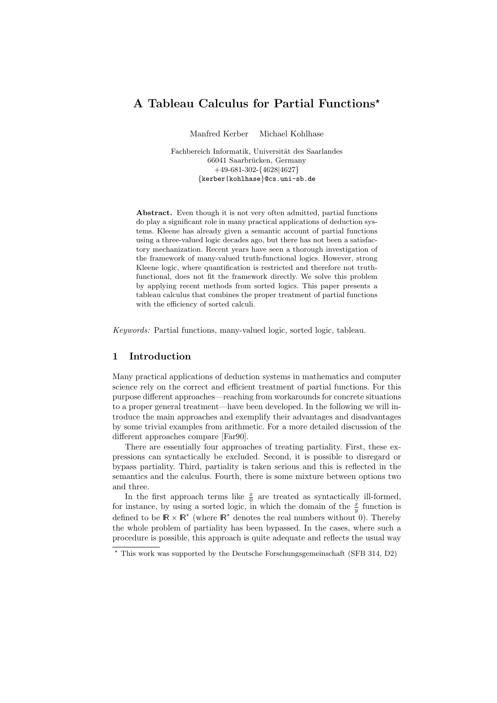# A Tableau Calculus for Partial Functions?

Manfred Kerber Michael Kohlhase

Fachbereich Informatik, Universität des Saarlandes 66041 Saarbrücken, Germany +49-681-302-{4628|4627} {kerber|kohlhase}@cs.uni-sb.de

Abstract. Even though it is not very often admitted, partial functions do play a significant role in many practical applications of deduction systems. Kleene has already given a semantic account of partial functions using a three-valued logic decades ago, but there has not been a satisfactory mechanization. Recent years have seen a thorough investigation of the framework of many-valued truth-functional logics. However, strong Kleene logic, where quantification is restricted and therefore not truthfunctional, does not fit the framework directly. We solve this problem by applying recent methods from sorted logics. This paper presents a tableau calculus that combines the proper treatment of partial functions with the efficiency of sorted calculi.

Keywords: Partial functions, many-valued logic, sorted logic, tableau.

# 1 Introduction

Many practical applications of deduction systems in mathematics and computer science rely on the correct and efficient treatment of partial functions. For this purpose different approaches—reaching from workarounds for concrete situations to a proper general treatment—have been developed. In the following we will introduce the main approaches and exemplify their advantages and disadvantages by some trivial examples from arithmetic. For a more detailed discussion of the different approaches compare [Far90].

There are essentially four approaches of treating partiality. First, these expressions can syntactically be excluded. Second, it is possible to disregard or bypass partiality. Third, partiality is taken serious and this is reflected in the semantics and the calculus. Fourth, there is some mixture between options two and three.

In the first approach terms like  $\frac{x}{0}$  are treated as syntactically ill-formed, for instance, by using a sorted logic, in which the domain of the  $\frac{x}{y}$  function is defined to be  $\mathbb{R} \times \mathbb{R}^*$  (where  $\mathbb{R}^*$  denotes the real numbers without 0). Thereby the whole problem of partiality has been bypassed. In the cases, where such a procedure is possible, this approach is quite adequate and reflects the usual way

 $*$  This work was supported by the Deutsche Forschungsgemeinschaft (SFB 314, D2)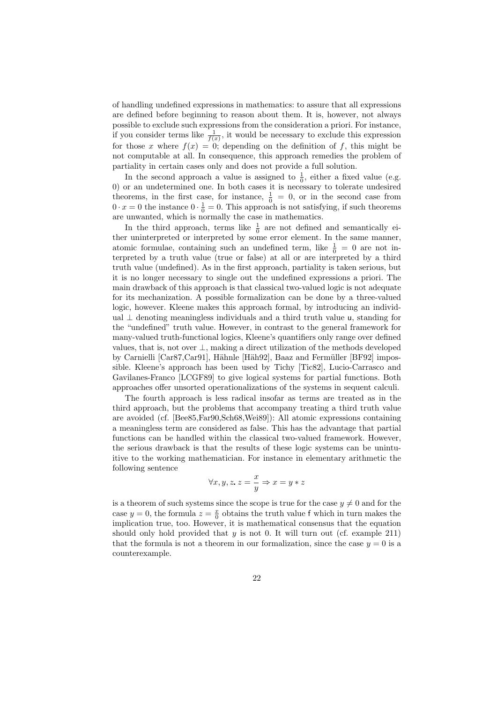of handling undefined expressions in mathematics: to assure that all expressions are defined before beginning to reason about them. It is, however, not always possible to exclude such expressions from the consideration a priori. For instance, if you consider terms like  $\frac{1}{f(x)}$ , it would be necessary to exclude this expression for those x where  $f(x) = 0$ ; depending on the definition of f, this might be not computable at all. In consequence, this approach remedies the problem of partiality in certain cases only and does not provide a full solution.

In the second approach a value is assigned to  $\frac{1}{0}$ , either a fixed value (e.g. 0) or an undetermined one. In both cases it is necessary to tolerate undesired theorems, in the first case, for instance,  $\frac{1}{0} = 0$ , or in the second case from  $0 \cdot x = 0$  the instance  $0 \cdot \frac{1}{0} = 0$ . This approach is not satisfying, if such theorems are unwanted, which is normally the case in mathematics.

In the third approach, terms like  $\frac{1}{0}$  are not defined and semantically either uninterpreted or interpreted by some error element. In the same manner, atomic formulae, containing such an undefined term, like  $\frac{1}{0} = 0$  are not interpreted by a truth value (true or false) at all or are interpreted by a third truth value (undefined). As in the first approach, partiality is taken serious, but it is no longer necessary to single out the undefined expressions a priori. The main drawback of this approach is that classical two-valued logic is not adequate for its mechanization. A possible formalization can be done by a three-valued logic, however. Kleene makes this approach formal, by introducing an individual ⊥ denoting meaningless individuals and a third truth value u, standing for the "undefined" truth value. However, in contrast to the general framework for many-valued truth-functional logics, Kleene's quantifiers only range over defined values, that is, not over  $\perp$ , making a direct utilization of the methods developed by Carnielli  $[Car87, Car91]$ , Hähnle  $[H\ddot{a}h92]$ , Baaz and Fermüller  $[BF92]$  impossible. Kleene's approach has been used by Tichy [Tic82], Lucio-Carrasco and Gavilanes-Franco [LCGF89] to give logical systems for partial functions. Both approaches offer unsorted operationalizations of the systems in sequent calculi.

The fourth approach is less radical insofar as terms are treated as in the third approach, but the problems that accompany treating a third truth value are avoided (cf. [Bee85,Far90,Sch68,Wei89]): All atomic expressions containing a meaningless term are considered as false. This has the advantage that partial functions can be handled within the classical two-valued framework. However, the serious drawback is that the results of these logic systems can be unintuitive to the working mathematician. For instance in elementary arithmetic the following sentence

$$
\forall x,y,z.~z=\frac{x}{y} \Rightarrow x=y*z
$$

is a theorem of such systems since the scope is true for the case  $y \neq 0$  and for the case  $y = 0$ , the formula  $z = \frac{x}{0}$  obtains the truth value f which in turn makes the implication true, too. However, it is mathematical consensus that the equation should only hold provided that  $y$  is not 0. It will turn out (cf. example 211) that the formula is not a theorem in our formalization, since the case  $y = 0$  is a counterexample.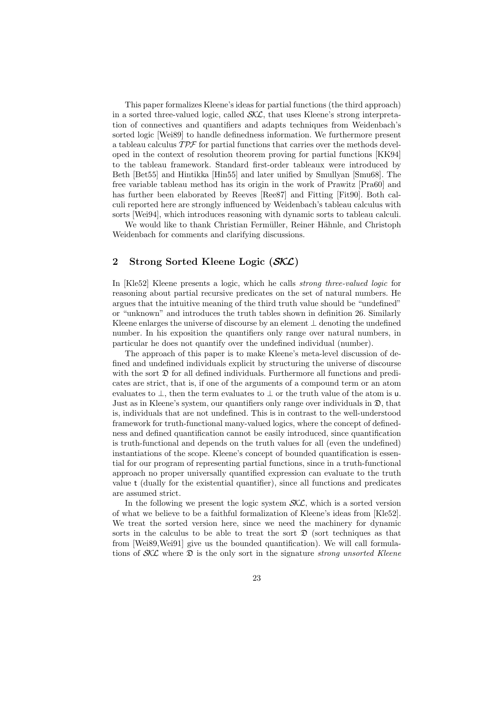This paper formalizes Kleene's ideas for partial functions (the third approach) in a sorted three-valued logic, called  $\mathcal{SKL}$ , that uses Kleene's strong interpretation of connectives and quantifiers and adapts techniques from Weidenbach's sorted logic [Wei89] to handle definedness information. We furthermore present a tableau calculus  $T\mathcal{P}\mathcal{F}$  for partial functions that carries over the methods developed in the context of resolution theorem proving for partial functions [KK94] to the tableau framework. Standard first-order tableaux were introduced by Beth [Bet55] and Hintikka [Hin55] and later unified by Smullyan [Smu68]. The free variable tableau method has its origin in the work of Prawitz [Pra60] and has further been elaborated by Reeves [Ree87] and Fitting [Fit90]. Both calculi reported here are strongly influenced by Weidenbach's tableau calculus with sorts [Wei94], which introduces reasoning with dynamic sorts to tableau calculi.

We would like to thank Christian Fermüller, Reiner Hähnle, and Christoph Weidenbach for comments and clarifying discussions.

# 2 Strong Sorted Kleene Logic  $(SKL)$

In [Kle52] Kleene presents a logic, which he calls strong three-valued logic for reasoning about partial recursive predicates on the set of natural numbers. He argues that the intuitive meaning of the third truth value should be "undefined" or "unknown" and introduces the truth tables shown in definition 26. Similarly Kleene enlarges the universe of discourse by an element  $\perp$  denoting the undefined number. In his exposition the quantifiers only range over natural numbers, in particular he does not quantify over the undefined individual (number).

The approach of this paper is to make Kleene's meta-level discussion of defined and undefined individuals explicit by structuring the universe of discourse with the sort  $\mathfrak D$  for all defined individuals. Furthermore all functions and predicates are strict, that is, if one of the arguments of a compound term or an atom evaluates to  $\bot$ , then the term evaluates to  $\bot$  or the truth value of the atom is u. Just as in Kleene's system, our quantifiers only range over individuals in  $\mathfrak{D}$ , that is, individuals that are not undefined. This is in contrast to the well-understood framework for truth-functional many-valued logics, where the concept of definedness and defined quantification cannot be easily introduced, since quantification is truth-functional and depends on the truth values for all (even the undefined) instantiations of the scope. Kleene's concept of bounded quantification is essential for our program of representing partial functions, since in a truth-functional approach no proper universally quantified expression can evaluate to the truth value t (dually for the existential quantifier), since all functions and predicates are assumed strict.

In the following we present the logic system  $S\mathcal{KL}$ , which is a sorted version of what we believe to be a faithful formalization of Kleene's ideas from [Kle52]. We treat the sorted version here, since we need the machinery for dynamic sorts in the calculus to be able to treat the sort  $\mathfrak D$  (sort techniques as that from [Wei89,Wei91] give us the bounded quantification). We will call formulations of  $SKL$  where  $\mathfrak D$  is the only sort in the signature *strong unsorted Kleene*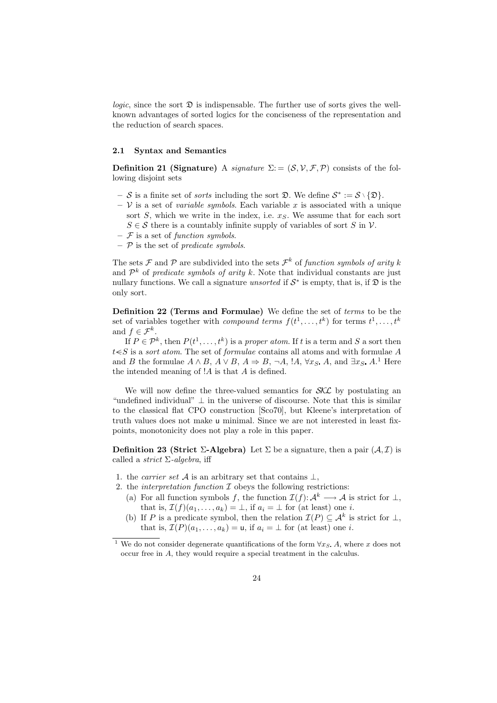logic, since the sort  $\mathfrak D$  is indispensable. The further use of sorts gives the wellknown advantages of sorted logics for the conciseness of the representation and the reduction of search spaces.

# 2.1 Syntax and Semantics

**Definition 21 (Signature)** A *signature*  $\Sigma = (\mathcal{S}, \mathcal{V}, \mathcal{F}, \mathcal{P})$  consists of the following disjoint sets

- $-$  S is a finite set of *sorts* including the sort  $\mathfrak{D}$ . We define  $S^* := S \setminus \{ \mathfrak{D} \}.$
- $-$  V is a set of *variable symbols*. Each variable x is associated with a unique sort  $S$ , which we write in the index, i.e.  $x_S$ . We assume that for each sort  $S \in \mathcal{S}$  there is a countably infinite supply of variables of sort S in V.
- $-$  F is a set of function symbols.
- $-$  P is the set of *predicate symbols*.

The sets F and P are subdivided into the sets  $\mathcal{F}^k$  of function symbols of arity k and  $\mathcal{P}^k$  of predicate symbols of arity k. Note that individual constants are just nullary functions. We call a signature *unsorted* if  $S^*$  is empty, that is, if  $\mathfrak{D}$  is the only sort.

Definition 22 (Terms and Formulae) We define the set of terms to be the set of variables together with *compound terms*  $f(t^1, \ldots, t^k)$  for terms  $t^1, \ldots, t^k$ and  $f \in \mathcal{F}^k$ .

If  $P \in \mathcal{P}^k$ , then  $P(t^1, \ldots, t^k)$  is a proper atom. If t is a term and S a sort then  $t \leq S$  is a sort atom. The set of *formulae* contains all atoms and with formulae A and B the formulae  $A \wedge B$ ,  $A \vee B$ ,  $A \Rightarrow B$ ,  $\neg A$ ,  $'A$ ,  $\forall x_S$ ,  $A$ , and  $\exists x_S$ ,  $A$ .<sup>1</sup> Here the intended meaning of !A is that A is defined.

We will now define the three-valued semantics for  $\mathcal{SKL}$  by postulating an "undefined individual"  $\perp$  in the universe of discourse. Note that this is similar to the classical flat CPO construction [Sco70], but Kleene's interpretation of truth values does not make u minimal. Since we are not interested in least fixpoints, monotonicity does not play a role in this paper.

**Definition 23 (Strict Σ-Algebra)** Let  $\Sigma$  be a signature, then a pair  $(A, \mathcal{I})$  is called a *strict*  $\Sigma$ -algebra, iff

- 1. the *carrier set*  $\mathcal A$  is an arbitrary set that contains  $\bot$ ,
- 2. the *interpretation function*  $\mathcal I$  obeys the following restrictions:
	- (a) For all function symbols f, the function  $\mathcal{I}(f): \mathcal{A}^k \longrightarrow \mathcal{A}$  is strict for  $\bot$ , that is,  $\mathcal{I}(f)(a_1, \ldots, a_k) = \bot$ , if  $a_i = \bot$  for (at least) one *i*.
	- (b) If P is a predicate symbol, then the relation  $\mathcal{I}(P) \subseteq A^k$  is strict for  $\perp$ , that is,  $\mathcal{I}(P)(a_1, \ldots, a_k) = \mathsf{u}$ , if  $a_i = \perp$  for (at least) one *i*.

<sup>&</sup>lt;sup>1</sup> We do not consider degenerate quantifications of the form  $\forall x_S$ , A, where x does not occur free in A, they would require a special treatment in the calculus.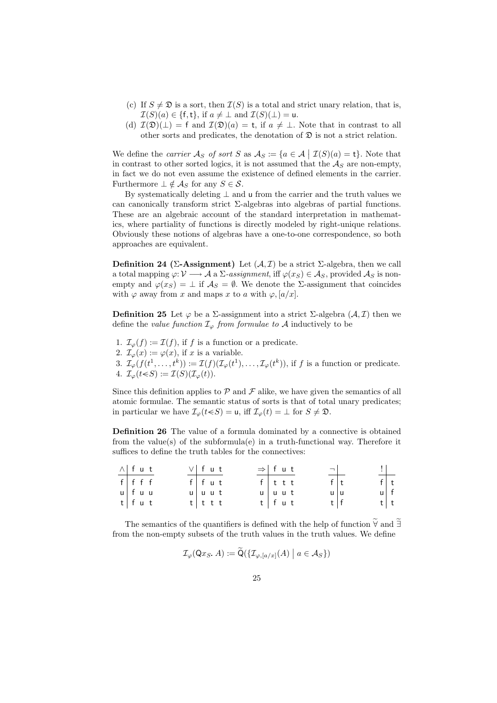- (c) If  $S \neq \mathfrak{D}$  is a sort, then  $\mathcal{I}(S)$  is a total and strict unary relation, that is,  $\mathcal{I}(S)(a) \in \{\mathsf{f},\mathsf{t}\}, \text{ if } a \neq \perp \text{ and } \mathcal{I}(S)(\perp) = \mathsf{u}.$
- (d)  $\mathcal{I}(\mathfrak{D})(\perp) = f$  and  $\mathcal{I}(\mathfrak{D})(a) = t$ , if  $a \neq \perp$ . Note that in contrast to all other sorts and predicates, the denotation of  $\mathfrak D$  is not a strict relation.

We define the *carrier*  $\mathcal{A}_S$  of sort  $S$  as  $\mathcal{A}_S := \{a \in \mathcal{A} \mid \mathcal{I}(S)(a) = \mathsf{t}\}.$  Note that in contrast to other sorted logics, it is not assumed that the  $\mathcal{A}_S$  are non-empty, in fact we do not even assume the existence of defined elements in the carrier. Furthermore  $\bot \notin \mathcal{A}_S$  for any  $S \in \mathcal{S}$ .

By systematically deleting  $\perp$  and u from the carrier and the truth values we can canonically transform strict  $\Sigma$ -algebras into algebras of partial functions. These are an algebraic account of the standard interpretation in mathematics, where partiality of functions is directly modeled by right-unique relations. Obviously these notions of algebras have a one-to-one correspondence, so both approaches are equivalent.

Definition 24 (Σ-Assignment) Let  $(A, \mathcal{I})$  be a strict Σ-algebra, then we call a total mapping  $\varphi: \mathcal{V} \longrightarrow \mathcal{A}$  a  $\Sigma$ -assignment, iff  $\varphi(x_S) \in \mathcal{A}_S$ , provided  $\mathcal{A}_S$  is nonempty and  $\varphi(x_S) = \bot$  if  $\mathcal{A}_S = \emptyset$ . We denote the  $\Sigma$ -assignment that coincides with  $\varphi$  away from x and maps x to a with  $\varphi$ ,  $[a/x]$ .

**Definition 25** Let  $\varphi$  be a  $\Sigma$ -assignment into a strict  $\Sigma$ -algebra  $(A, \mathcal{I})$  then we define the value function  $\mathcal{I}_{\varphi}$  from formulae to A inductively to be

- 1.  $\mathcal{I}_{\varphi}(f) := \mathcal{I}(f)$ , if f is a function or a predicate.
- 2.  $\mathcal{I}_{\varphi}(x) := \varphi(x)$ , if x is a variable.

3.  $\mathcal{I}_{\varphi}(f(t^1,\ldots,t^k)) := \mathcal{I}(f)(\mathcal{I}_{\varphi}(t^1),\ldots,\mathcal{I}_{\varphi}(t^k)),$  if f is a function or predicate. 4.  $\mathcal{I}_{\varphi}(t\in S) := \mathcal{I}(S)(\mathcal{I}_{\varphi}(t)).$ 

Since this definition applies to  $\mathcal P$  and  $\mathcal F$  alike, we have given the semantics of all atomic formulae. The semantic status of sorts is that of total unary predicates; in particular we have  $\mathcal{I}_{\varphi}(t\in S) = \mathsf{u}$ , iff  $\mathcal{I}_{\varphi}(t) = \bot$  for  $S \neq \mathfrak{D}$ .

Definition 26 The value of a formula dominated by a connective is obtained from the value(s) of the subformula(e) in a truth-functional way. Therefore it suffices to define the truth tables for the connectives:

| $\wedge$ fut    |  | $V$ fut         |  | $\Rightarrow$ fut |               |  | $\neg$     |                    |                                        |
|-----------------|--|-----------------|--|-------------------|---------------|--|------------|--------------------|----------------------------------------|
| $f$ $f$ $f$ $f$ |  | $f$ $f$ $u$ $t$ |  |                   | $f$ ttt       |  | f t        | $\frac{!}{\int f}$ |                                        |
| $u$ fuu         |  | $u$   $u$ u t   |  |                   | $u$   $u$ u t |  | u u        |                    | $\begin{bmatrix} 1 \\ 0 \end{bmatrix}$ |
| $t$ fut         |  | $t$ t t t       |  | t                 | fut           |  | $t \mid f$ |                    |                                        |

The semantics of the quantifiers is defined with the help of function  $\forall$  and  $\exists$ from the non-empty subsets of the truth values in the truth values. We define

$$
\mathcal{I}_{\varphi}(\mathsf{Q}x_S \mid A) := \widetilde{\mathsf{Q}}(\{\mathcal{I}_{\varphi,[a/x]}(A) \mid a \in \mathcal{A}_S\})
$$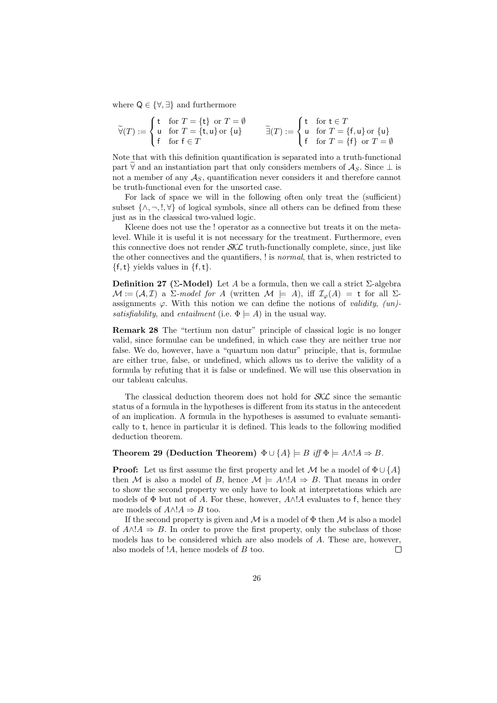where  $Q \in \{ \forall, \exists \}$  and furthermore

$$
\widetilde{\forall}(T) := \begin{cases} \n\text{t} & \text{for } T = \{\text{t}\} \text{ or } T = \emptyset \\ \n\text{u} & \text{for } T = \{\text{t}, \text{u}\} \text{ or } \{\text{u}\} \\ \n\text{f} & \text{for } \text{f} \in T \n\end{cases} \qquad \widetilde{\exists}(T) := \begin{cases} \n\text{t} & \text{for } \text{t} \in T \\ \n\text{u} & \text{for } T = \{\text{f}, \text{u}\} \text{ or } \{\text{u}\} \\ \n\text{f} & \text{for } T = \{\text{f}\} \text{ or } T = \emptyset \n\end{cases}
$$

Note that with this definition quantification is separated into a truth-functional part  $\forall$  and an instantiation part that only considers members of  $\mathcal{A}_S$ . Since  $\bot$  is not a member of any  $A<sub>S</sub>$ , quantification never considers it and therefore cannot be truth-functional even for the unsorted case.

For lack of space we will in the following often only treat the (sufficient) subset  $\{\wedge, \neg, !, \forall\}$  of logical symbols, since all others can be defined from these just as in the classical two-valued logic.

Kleene does not use the ! operator as a connective but treats it on the metalevel. While it is useful it is not necessary for the treatment. Furthermore, even this connective does not render  $\mathcal{SKL}$  truth-functionally complete, since, just like the other connectives and the quantifiers, ! is normal, that is, when restricted to  $\{f, t\}$  yields values in  $\{f, t\}.$ 

**Definition 27** ( $\Sigma$ -Model) Let A be a formula, then we call a strict  $\Sigma$ -algebra  $\mathcal{M} := (\mathcal{A}, \mathcal{I})$  a  $\Sigma$ -model for A (written  $\mathcal{M} \models A$ ), iff  $\mathcal{I}_{\varphi}(A) = t$  for all  $\Sigma$ assignments  $\varphi$ . With this notion we can define the notions of validity, (un)satisfiability, and entailment (i.e.  $\Phi \models A$ ) in the usual way.

Remark 28 The "tertium non datur" principle of classical logic is no longer valid, since formulae can be undefined, in which case they are neither true nor false. We do, however, have a "quartum non datur" principle, that is, formulae are either true, false, or undefined, which allows us to derive the validity of a formula by refuting that it is false or undefined. We will use this observation in our tableau calculus.

The classical deduction theorem does not hold for  $\mathcal{SKL}$  since the semantic status of a formula in the hypotheses is different from its status in the antecedent of an implication. A formula in the hypotheses is assumed to evaluate semantically to t, hence in particular it is defined. This leads to the following modified deduction theorem.

Theorem 29 (Deduction Theorem)  $\Phi \cup \{A\} \models B$  iff  $\Phi \models A \land A \Rightarrow B$ .

**Proof:** Let us first assume the first property and let M be a model of  $\Phi \cup \{A\}$ then M is also a model of B, hence  $\mathcal{M} \models A \wedge A \Rightarrow B$ . That means in order to show the second property we only have to look at interpretations which are models of  $\Phi$  but not of A. For these, however,  $A \wedge !A$  evaluates to f, hence they are models of  $A \wedge !A \Rightarrow B$  too.

If the second property is given and  $\mathcal M$  is a model of  $\Phi$  then  $\mathcal M$  is also a model of  $A \wedge A \Rightarrow B$ . In order to prove the first property, only the subclass of those models has to be considered which are also models of A. These are, however, also models of !A, hence models of B too.  $\Box$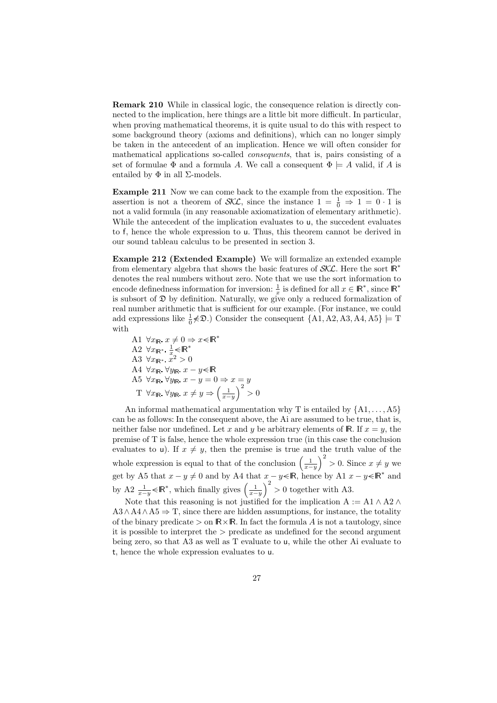Remark 210 While in classical logic, the consequence relation is directly connected to the implication, here things are a little bit more difficult. In particular, when proving mathematical theorems, it is quite usual to do this with respect to some background theory (axioms and definitions), which can no longer simply be taken in the antecedent of an implication. Hence we will often consider for mathematical applications so-called consequents, that is, pairs consisting of a set of formulae  $\Phi$  and a formula A. We call a consequent  $\Phi \models A$  valid, if A is entailed by  $\Phi$  in all  $\Sigma$ -models.

Example 211 Now we can come back to the example from the exposition. The assertion is not a theorem of  $\text{SKL}$ , since the instance  $1 = \frac{1}{0} \Rightarrow 1 = 0 \cdot 1$  is not a valid formula (in any reasonable axiomatization of elementary arithmetic). While the antecedent of the implication evaluates to u, the succedent evaluates to f, hence the whole expression to u. Thus, this theorem cannot be derived in our sound tableau calculus to be presented in section 3.

Example 212 (Extended Example) We will formalize an extended example from elementary algebra that shows the basic features of  $\mathcal{SKL}$ . Here the sort  $\mathbb{R}^*$ denotes the real numbers without zero. Note that we use the sort information to encode definedness information for inversion:  $\frac{1}{x}$  is defined for all  $x \in \mathbb{R}^*$ , since  $\mathbb{R}^*$ is subsort of  $\mathfrak D$  by definition. Naturally, we give only a reduced formalization of real number arithmetic that is sufficient for our example. (For instance, we could add expressions like  $\frac{1}{0} \notin \mathfrak{D}$ .) Consider the consequent  $\{A1, A2, A3, A4, A5\} \models T$ with

A1  $\forall x_{\mathbb{R}} \ x \neq 0 \Rightarrow x \in \mathbb{R}^*$ A2  $\forall x_{\mathbb{R}^*}$   $\frac{1}{x} \in \mathbb{R}^*$ A3  $\forall x_{\mathbb{R}^*} \ x^2 > 0$ A4 ∀ $x_{\mathsf{IR}}$   $\forall y_{\mathsf{IR}}$   $x - y \in \mathsf{IR}$ A5  $\forall x_{\mathbb{R}} \ \forall y_{\mathbb{R}} \ x - y = 0 \Rightarrow x = y$ T  $\forall x \in \mathbb{R}$   $\forall y \in \mathbb{R}$   $x \neq y \Rightarrow \left(\frac{1}{x-y}\right)^2 > 0$ 

An informal mathematical argumentation why T is entailed by  $\{A1, \ldots, A5\}$ can be as follows: In the consequent above, the Ai are assumed to be true, that is, neither false nor undefined. Let x and y be arbitrary elements of  $\mathbb{R}$ . If  $x = y$ , the premise of T is false, hence the whole expression true (in this case the conclusion evaluates to u). If  $x \neq y$ , then the premise is true and the truth value of the whole expression is equal to that of the conclusion  $\left(\frac{1}{x-y}\right)^2 > 0$ . Since  $x \neq y$  we get by A5 that  $x - y \neq 0$  and by A4 that  $x - y \in \mathbb{R}$ , hence by A1  $x - y \in \mathbb{R}^*$  and by A2  $\frac{1}{x-y}$  <R<sup>\*</sup>, which finally gives  $\left(\frac{1}{x-y}\right)^2 > 0$  together with A3.

Note that this reasoning is not justified for the implication A := A1  $\land$  A2  $\land$  $A3 \wedge A4 \wedge A5 \Rightarrow T$ , since there are hidden assumptions, for instance, the totality of the binary predicate  $>$  on  $\mathbb{R} \times \mathbb{R}$ . In fact the formula A is not a tautology, since it is possible to interpret the > predicate as undefined for the second argument being zero, so that A3 as well as T evaluate to u, while the other Ai evaluate to t, hence the whole expression evaluates to u.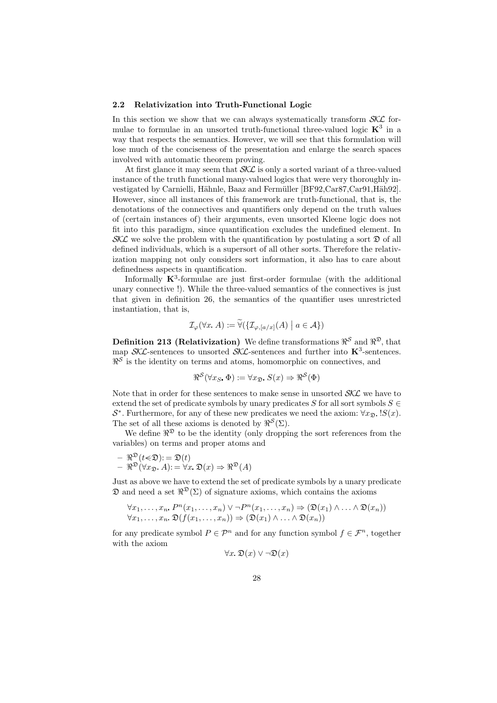#### 2.2 Relativization into Truth-Functional Logic

In this section we show that we can always systematically transform  $\mathcal{SKL}$  formulae to formulae in an unsorted truth-functional three-valued logic  $K^3$  in a way that respects the semantics. However, we will see that this formulation will lose much of the conciseness of the presentation and enlarge the search spaces involved with automatic theorem proving.

At first glance it may seem that  $\mathcal{SKL}$  is only a sorted variant of a three-valued instance of the truth functional many-valued logics that were very thoroughly investigated by Carnielli, Hähnle, Baaz and Fermüller [BF92,Car87,Car91,Häh92]. However, since all instances of this framework are truth-functional, that is, the denotations of the connectives and quantifiers only depend on the truth values of (certain instances of) their arguments, even unsorted Kleene logic does not fit into this paradigm, since quantification excludes the undefined element. In  $\mathcal{SKL}$  we solve the problem with the quantification by postulating a sort  $\mathfrak D$  of all defined individuals, which is a supersort of all other sorts. Therefore the relativization mapping not only considers sort information, it also has to care about definedness aspects in quantification.

Informally  $K^3$ -formulae are just first-order formulae (with the additional unary connective !). While the three-valued semantics of the connectives is just that given in definition 26, the semantics of the quantifier uses unrestricted instantiation, that is,

$$
\mathcal{I}_{\varphi}(\forall x \; A) := \forall (\{\mathcal{I}_{\varphi,[a/x]}(A) \; \big| \; a \in \mathcal{A}\})
$$

**Definition 213 (Relativization)** We define transformations  $\mathbb{R}^{\mathcal{S}}$  and  $\mathbb{R}^{\mathcal{D}}$ , that map  $\mathcal{SKL}$ -sentences to unsorted  $\mathcal{SKL}$ -sentences and further into  $\mathbf{K}^3$ -sentences.  $\mathbb{R}^{\mathcal{S}}$  is the identity on terms and atoms, homomorphic on connectives, and

$$
\Re^{\mathcal{S}}(\forall x_S \ \Phi) := \forall x_{\mathfrak{D}} \ S(x) \Rightarrow \Re^{\mathcal{S}}(\Phi)
$$

Note that in order for these sentences to make sense in unsorted  $\mathcal{SKL}$  we have to extend the set of predicate symbols by unary predicates S for all sort symbols  $S \in$  $S^*$ . Furthermore, for any of these new predicates we need the axiom:  $\forall x_{\mathfrak{D}}$  ! $S(x)$ . The set of all these axioms is denoted by  $\mathbb{R}^{\mathcal{S}}(\Sigma)$ .

We define  $\mathbb{R}^{\mathfrak{D}}$  to be the identity (only dropping the sort references from the variables) on terms and proper atoms and

$$
- \Re^{\mathfrak{D}}(t \in \mathfrak{D}) = \mathfrak{D}(t)
$$

$$
- \Re^{\mathfrak{D}}(\forall x_{\mathfrak{D}} \ A) = \forall x \ \mathfrak{D}(x) \Rightarrow \Re^{\mathfrak{D}}(A)
$$

Just as above we have to extend the set of predicate symbols by a unary predicate  $\mathfrak{D}$  and need a set  $\mathfrak{R}^{\mathfrak{D}}(\Sigma)$  of signature axioms, which contains the axioms

$$
\forall x_1, \ldots, x_n \ P^n(x_1, \ldots, x_n) \lor \neg P^n(x_1, \ldots, x_n) \Rightarrow (\mathfrak{D}(x_1) \land \ldots \land \mathfrak{D}(x_n)) \forall x_1, \ldots, x_n \ \mathfrak{D}(f(x_1, \ldots, x_n)) \Rightarrow (\mathfrak{D}(x_1) \land \ldots \land \mathfrak{D}(x_n))
$$

for any predicate symbol  $P \in \mathcal{P}^n$  and for any function symbol  $f \in \mathcal{F}^n$ , together with the axiom

$$
\forall x \ \mathfrak{D}(x) \lor \neg \mathfrak{D}(x)
$$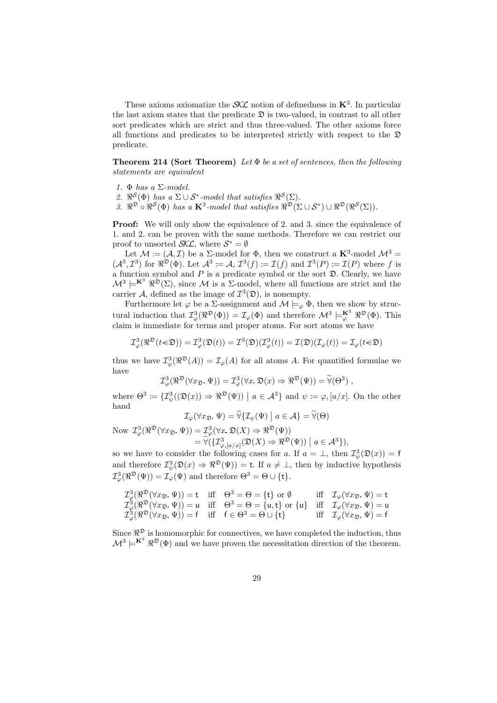These axioms axiomatize the  $\mathcal{SKL}$  notion of definedness in  $\mathbf{K}^3$ . In particular the last axiom states that the predicate  $\mathfrak D$  is two-valued, in contrast to all other sort predicates which are strict and thus three-valued. The other axioms force all functions and predicates to be interpreted strictly with respect to the D predicate.

**Theorem 214 (Sort Theorem)** Let  $\Phi$  be a set of sentences, then the following statements are equivalent

- 1.  $\Phi$  has a  $\Sigma$ -model.
- 2.  $\mathbb{R}^{\mathcal{S}}(\Phi)$  has a  $\Sigma \cup \mathcal{S}^*$ -model that satisfies  $\mathbb{R}^{\mathcal{S}}(\Sigma)$ .
- 3.  $\mathbb{R}^{\mathfrak{D}} \circ \mathbb{R}^{\mathcal{S}}(\Phi)$  has a  $\mathbf{K}^3$ -model that satisfies  $\mathbb{R}^{\mathfrak{D}}(\Sigma \cup \mathcal{S}^*) \cup \mathbb{R}^{\mathfrak{D}}(\mathbb{R}^{\mathcal{S}}(\Sigma)).$

**Proof:** We will only show the equivalence of 2. and 3. since the equivalence of 1. and 2. can be proven with the same methods. Therefore we can restrict our proof to unsorted  $\mathcal{SKL}$ , where  $\mathcal{S}^* = \emptyset$ 

Let  $\mathcal{M} := (\mathcal{A}, \mathcal{I})$  be a  $\Sigma$ -model for  $\Phi$ , then we construct a  $\mathbf{K}^3$ -model  $\mathcal{M}^3 =$  $(\mathcal{A}^3, \mathcal{I}^3)$  for  $\mathfrak{R}^{\mathfrak{D}}(\Phi)$ . Let  $\mathcal{A}^3 := \mathcal{A}, \mathcal{I}^3(f) := \mathcal{I}(f)$  and  $\mathcal{I}^3(P) := \mathcal{I}(P)$  where f is a function symbol and  $P$  is a predicate symbol or the sort  $\mathfrak{D}$ . Clearly, we have  $\mathcal{M}^3 \models^{K^3} \Re^{\mathfrak{D}}(\Sigma)$ , since M is a  $\Sigma$ -model, where all functions are strict and the carrier A, defined as the image of  $\mathcal{I}^3(\mathfrak{D})$ , is nonempty.

Furthermore let  $\varphi$  be a  $\Sigma$ -assignment and  $\mathcal{M} \models_{\varphi} \Phi$ , then we show by structural induction that  $\mathcal{I}^3_{\varphi}(\Re^{\mathfrak{D}}(\Phi)) = \mathcal{I}_{\varphi}(\Phi)$  and therefore  $\mathcal{M}^3 \models_{\varphi}^{\mathbf{K}^3} \Re^{\mathfrak{D}}(\Phi)$ . This claim is immediate for terms and proper atoms. For sort atoms we have

$$
\mathcal{I}_{\varphi}^{3}(\Re^{\mathfrak{D}}(t \leq \mathfrak{D})) = \mathcal{I}_{\varphi}^{3}(\mathfrak{D}(t)) = \mathcal{I}^{3}(\mathfrak{D})(\mathcal{I}_{\varphi}^{3}(t)) = \mathcal{I}(\mathfrak{D})(\mathcal{I}_{\varphi}(t)) = \mathcal{I}_{\varphi}(t \leq \mathfrak{D})
$$

thus we have  $\mathcal{I}^3_{\varphi}(\Re^{\mathfrak{D}}(A)) = \mathcal{I}_{\varphi}(A)$  for all atoms A. For quantified formulae we have

$$
\mathcal{I}_{\varphi}^{3}(\Re^{\mathfrak{D}}(\forall x_{\mathfrak{D}}\ \Psi))=\mathcal{I}_{\varphi}^{3}(\forall x\ \mathfrak{D}(x)\Rightarrow\Re^{\mathfrak{D}}(\Psi))=\widetilde{\forall}(\Theta^{3}),
$$

where  $\Theta^3 := \{ \mathcal{I}^3_{\psi}((\mathfrak{D}(x)) \Rightarrow \Re^{\mathfrak{D}}(\Psi)) \mid a \in \mathcal{A}^3 \}$  and  $\psi := \varphi, [a/x].$  On the other hand

$$
\mathcal{I}_{\varphi}(\forall x_{\mathfrak{D}} \ \Psi) = \forall \{\mathcal{I}_{\psi}(\Psi) \mid a \in \mathcal{A}\} = \forall(\Theta)
$$

Now  $\mathcal{I}^3_{\varphi}(\Re^{\mathfrak{D}}(\forall x_{\mathfrak{D}} \ \Psi)) = \mathcal{I}^3_{\varphi}(\forall x \ \mathfrak{D}(X) \Rightarrow \Re^{\mathfrak{D}}(\Psi))$  $=\forall (\{\mathcal{I}^3_{\varphi,[a/x]}(\mathfrak{D}(X) \Rightarrow \Re^{\mathfrak{D}}(\Psi)) \mid a \in \mathcal{A}^3 \}),$ 

so we have to consider the following cases for a. If  $a = \perp$ , then  $\mathcal{I}^3_\psi(\mathfrak{D}(x)) = \mathfrak{f}$ and therefore  $\mathcal{I}_{\psi}^3(\mathfrak{D}(x) \Rightarrow \Re^{\mathfrak{D}}(\Psi)) = \mathsf{t}$ . If  $a \neq \bot$ , then by inductive hypothesis  $\mathcal{I}^3_{\varphi}(\Re^{\mathfrak{D}}(\Psi)) = \mathcal{I}_{\varphi}(\Psi)$  and therefore  $\Theta^3 = \Theta \cup \{\mathsf{t}\}.$ 

$$
\begin{array}{ll}\n\mathcal{I}^3_{\varphi}(\Re^\mathfrak{D}(\forall x_\mathfrak{D}\ \Psi)) = \mathfrak{t} & \text{iff} \quad \Theta^3 = \Theta = \{\mathfrak{t}\} \text{ or } \emptyset & \text{iff} \quad \mathcal{I}^3_{\varphi}(\forall x_\mathfrak{D}\ \Psi) = \mathfrak{t} \\
\mathcal{I}^3_{\varphi}(\Re^\mathfrak{D}(\forall x_\mathfrak{D}\ \Psi)) = \mathfrak{u} & \text{iff} \quad \Theta^3 = \Theta = \{\mathfrak{u},\mathfrak{t}\} \text{ or } \{\mathfrak{u}\} & \text{iff} \quad \mathcal{I}^3_{\varphi}(\forall x_\mathfrak{D}\ \Psi) = \mathfrak{u} \\
\mathcal{I}^3_{\varphi}(\Re^\mathfrak{D}(\forall x_\mathfrak{D}\ \Psi)) = \mathfrak{f} & \text{iff} \quad \mathfrak{f} \in \Theta^3 = \Theta \cup \{\mathfrak{t}\} & \text{iff} \quad \mathcal{I}^3_{\varphi}(\forall x_\mathfrak{D}\ \Psi) = \mathfrak{f}\n\end{array}
$$

Since  $\mathbb{R}^{\mathfrak{D}}$  is homomorphic for connectives, we have completed the induction, thus  $\mathcal{M}^3 \models^{K^3} \Re^{\mathfrak{D}}(\Phi)$  and we have proven the necessitation direction of the theorem.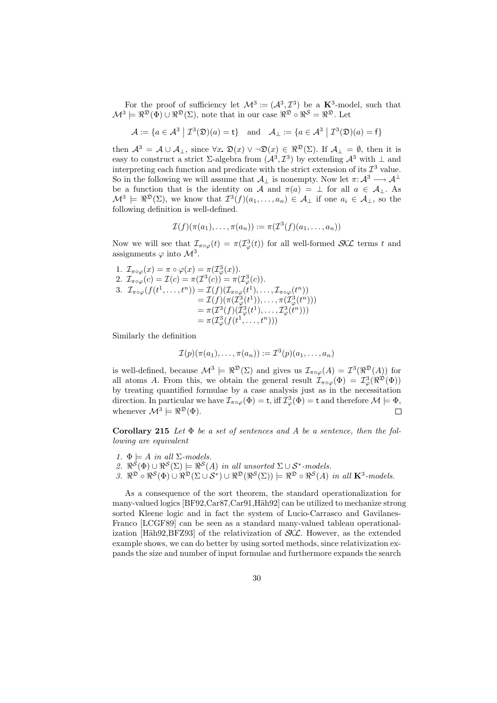For the proof of sufficiency let  $\mathcal{M}^3 := (\mathcal{A}^3, \mathcal{I}^3)$  be a  $\mathbf{K}^3$ -model, such that  $\mathcal{M}^3 \models \Re^{\mathfrak{D}}(\Phi) \cup \Re^{\mathfrak{D}}(\Sigma)$ , note that in our case  $\Re^{\mathfrak{D}} \circ \Re^{\mathcal{S}} = \Re^{\mathfrak{D}}$ . Let

$$
\mathcal{A} := \{ a \in \mathcal{A}^3 \mid \mathcal{I}^3(\mathfrak{D})(a) = \mathsf{t} \} \quad \text{and} \quad \mathcal{A}_\perp := \{ a \in \mathcal{A}^3 \mid \mathcal{I}^3(\mathfrak{D})(a) = \mathsf{f} \}
$$

then  $\mathcal{A}^3 = \mathcal{A} \cup \mathcal{A}_1$ , since  $\forall x \ \mathfrak{D}(x) \vee \neg \mathfrak{D}(x) \in \mathbb{R}^{\mathfrak{D}}(\Sigma)$ . If  $\mathcal{A}_1 = \emptyset$ , then it is easy to construct a strict  $\Sigma$ -algebra from  $(\mathcal{A}^3, \mathcal{I}^3)$  by extending  $\mathcal{A}^3$  with  $\bot$  and interpreting each function and predicate with the strict extension of its  $\mathcal{I}^3$  value. So in the following we will assume that  $\mathcal{A}_{\perp}$  is nonempty. Now let  $\pi: \mathcal{A}^3 \longrightarrow \mathcal{A}^{\perp}$ be a function that is the identity on A and  $\pi(a) = \perp$  for all  $a \in A_{\perp}$ . As  $\mathcal{M}^3 \models \Re^{\mathfrak{D}}(\Sigma)$ , we know that  $\mathcal{I}^3(f)(a_1,\ldots,a_n) \in \mathcal{A}_{\bot}$  if one  $a_i \in \mathcal{A}_{\bot}$ , so the following definition is well-defined.

$$
\mathcal{I}(f)(\pi(a_1),\ldots,\pi(a_n)) := \pi(\mathcal{I}^3(f)(a_1,\ldots,a_n))
$$

Now we will see that  $\mathcal{I}_{\pi \circ \varphi}(t) = \pi(\mathcal{I}_{\varphi}^3(t))$  for all well-formed  $\mathcal{SKL}$  terms t and assignments  $\varphi$  into  $\mathcal{M}^3$ .

1. 
$$
\mathcal{I}_{\pi \circ \varphi}(x) = \pi \circ \varphi(x) = \pi(\mathcal{I}_{\varphi}^{3}(x)).
$$
  
\n2.  $\mathcal{I}_{\pi \circ \varphi}(c) = \mathcal{I}(c) = \pi(\mathcal{I}_{\varphi}^{3}(c)) = \pi(\mathcal{I}_{\varphi}^{3}(c)).$   
\n3.  $\mathcal{I}_{\pi \circ \varphi}(f(t^{1}, \ldots, t^{n})) = \mathcal{I}(f)(\mathcal{I}_{\pi \circ \varphi}(t^{1}), \ldots, \mathcal{I}_{\pi \circ \varphi}(t^{n}))$   
\n $= \mathcal{I}(f)(\pi(\mathcal{I}_{\varphi}^{3}(t^{1})), \ldots, \pi(\mathcal{I}_{\varphi}^{3}(t^{n})))$   
\n $= \pi(\mathcal{I}_{\varphi}^{3}(f)(\mathcal{I}_{\varphi}^{3}(t^{1}), \ldots, \mathcal{I}_{\varphi}^{3}(t^{n})))$   
\n $= \pi(\mathcal{I}_{\varphi}^{3}(f(t^{1}, \ldots, t^{n})))$ 

Similarly the definition

$$
\mathcal{I}(p)(\pi(a_1),\ldots,\pi(a_n)) := \mathcal{I}^3(p)(a_1,\ldots,a_n)
$$

is well-defined, because  $\mathcal{M}^3 \models \Re^{\mathfrak{D}}(\Sigma)$  and gives us  $\mathcal{I}_{\pi \circ \varphi}(A) = \mathcal{I}^3(\Re^{\mathfrak{D}}(A))$  for all atoms A. From this, we obtain the general result  $\mathcal{I}_{\pi\circ\varphi}(\Phi) = \mathcal{I}^3_{\varphi}(\Re^{\mathfrak{D}}(\Phi))$ by treating quantified formulae by a case analysis just as in the necessitation direction. In particular we have  $\mathcal{I}_{\pi \circ \varphi}(\Phi) = \mathsf{t}$ , iff  $\mathcal{I}^3_{\varphi}(\Phi) = \mathsf{t}$  and therefore  $\mathcal{M} \models \Phi$ , whenever  $\mathcal{M}^3 \models \Re^{\mathfrak{D}}(\Phi)$ .  $\Box$ 

Corollary 215 Let  $\Phi$  be a set of sentences and A be a sentence, then the following are equivalent

- 1.  $\Phi \models A$  in all  $\Sigma$ -models.
- 2.  $\mathbb{R}^{\mathcal{S}}(\Phi) \cup \mathbb{R}^{\mathcal{S}}(\Sigma) \models \mathbb{R}^{\mathcal{S}}(A)$  in all unsorted  $\Sigma \cup \mathcal{S}^*$ -models.
- 3.  $\mathbb{R}^{\mathfrak{D}} \circ \mathbb{R}^{\mathcal{S}}(\Phi) \cup \mathbb{R}^{\mathfrak{D}}(\Sigma \cup \mathcal{S}^*) \cup \mathbb{R}^{\mathfrak{D}}(\mathbb{R}^{\mathcal{S}}(\Sigma)) \models \mathbb{R}^{\mathfrak{D}} \circ \mathbb{R}^{\mathcal{S}}(A)$  in all  $\mathbf{K}^3\text{-models}.$

As a consequence of the sort theorem, the standard operationalization for many-valued logics [BF92,Car87,Car91,Häh92] can be utilized to mechanize strong sorted Kleene logic and in fact the system of Lucio-Carrasco and Gavilanes-Franco [LCGF89] can be seen as a standard many-valued tableau operationalization [Häh92,BFZ93] of the relativization of  $\mathcal{SKL}$ . However, as the extended example shows, we can do better by using sorted methods, since relativization expands the size and number of input formulae and furthermore expands the search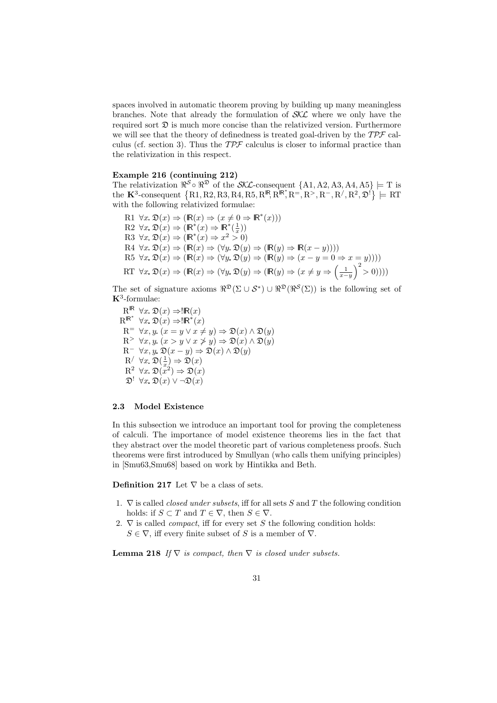spaces involved in automatic theorem proving by building up many meaningless branches. Note that already the formulation of  $\mathcal{SKL}$  where we only have the required sort  $\mathfrak D$  is much more concise than the relativized version. Furthermore we will see that the theory of definedness is treated goal-driven by the  $T P F$  calculus (cf. section 3). Thus the  $T\mathcal{P}\mathcal{F}$  calculus is closer to informal practice than the relativization in this respect.

#### Example 216 (continuing 212)

The relativization  $\mathbb{R}^S \circ \mathbb{R}^{\mathfrak{D}}$  of the SKL-consequent  $\{A1, A2, A3, A4, A5\} \models T$  is the  $\mathbf{K}^3$ -consequent  $\{R1, R2, R3, R4, R5, R^{\mathsf{IR}}, R^{\mathsf{IR}^*}, R^=, R^>, R^-, R^+, R^2, \mathfrak{D}^i\} \models RT$ with the following relativized formulae:

R1 
$$
\forall x. \mathfrak{D}(x) \Rightarrow (\mathbb{R}(x) \Rightarrow (x \neq 0 \Rightarrow \mathbb{R}^*(x)))
$$
  
\nR2  $\forall x. \mathfrak{D}(x) \Rightarrow (\mathbb{R}^*(x) \Rightarrow \mathbb{R}^*(\frac{1}{x}))$   
\nR3  $\forall x. \mathfrak{D}(x) \Rightarrow (\mathbb{R}^*(x) \Rightarrow x^2 > 0)$   
\nR4  $\forall x. \mathfrak{D}(x) \Rightarrow (\mathbb{R}(x) \Rightarrow (\forall y. \mathfrak{D}(y) \Rightarrow (\mathbb{R}(y) \Rightarrow \mathbb{R}(x - y))))$   
\nR5  $\forall x. \mathfrak{D}(x) \Rightarrow (\mathbb{R}(x) \Rightarrow (\forall y. \mathfrak{D}(y) \Rightarrow (\mathbb{R}(y) \Rightarrow (x - y = 0 \Rightarrow x = y))))$   
\nRT  $\forall x. \mathfrak{D}(x) \Rightarrow (\mathbb{R}(x) \Rightarrow (\forall y. \mathfrak{D}(y) \Rightarrow (\mathbb{R}(y) \Rightarrow (x \neq y \Rightarrow (\frac{1}{x-y})^2 > 0))))$ 

The set of signature axioms  $\mathbb{R}^{\mathfrak{D}}(\Sigma \cup \mathcal{S}^*) \cup \mathbb{R}^{\mathfrak{D}}(\mathbb{R}^{\mathcal{S}}(\Sigma))$  is the following set of  $\mathbf{K}^3$ -formulae:

 $R^{IR} \forall x \ \mathfrak{D}(x) \Rightarrow IR(x)$  $R^{IR^*}$   $\forall x \ \mathfrak{D}(x) \Rightarrow \mathsf{IR}^*(x)$  $R = \forall x, y \ (x = y \lor x \neq y) \Rightarrow \mathfrak{D}(x) \land \mathfrak{D}(y)$ R<sup>></sup> ∀x, y (x > y  $\lor$  x  $\not\geq$  y)  $\Rightarrow$   $\mathfrak{D}(x) \land \mathfrak{D}(y)$  $R^{-} \forall x, y \, \mathfrak{D}(x - y) \Rightarrow \mathfrak{D}(x) \wedge \mathfrak{D}(y)$  $R' \forall x \ \mathfrak{D}(\frac{1}{x}) \Rightarrow \mathfrak{D}(x)$  $\mathbb{R}^2 \forall x \ \mathfrak{D}(\mathring{x}^2) \Rightarrow \mathfrak{D}(x)$  $\mathfrak{D}^!$   $\forall x \ \mathfrak{D}(x) \vee \neg \mathfrak{D}(x)$ 

## 2.3 Model Existence

In this subsection we introduce an important tool for proving the completeness of calculi. The importance of model existence theorems lies in the fact that they abstract over the model theoretic part of various completeness proofs. Such theorems were first introduced by Smullyan (who calls them unifying principles) in [Smu63,Smu68] based on work by Hintikka and Beth.

Definition 217 Let  $\nabla$  be a class of sets.

- 1.  $\nabla$  is called *closed under subsets*, iff for all sets S and T the following condition holds: if  $S \subset T$  and  $T \in \nabla$ , then  $S \in \nabla$ .
- 2.  $\nabla$  is called *compact*, iff for every set S the following condition holds:  $S \in \nabla$ , iff every finite subset of S is a member of  $\nabla$ .

**Lemma 218** If  $\nabla$  is compact, then  $\nabla$  is closed under subsets.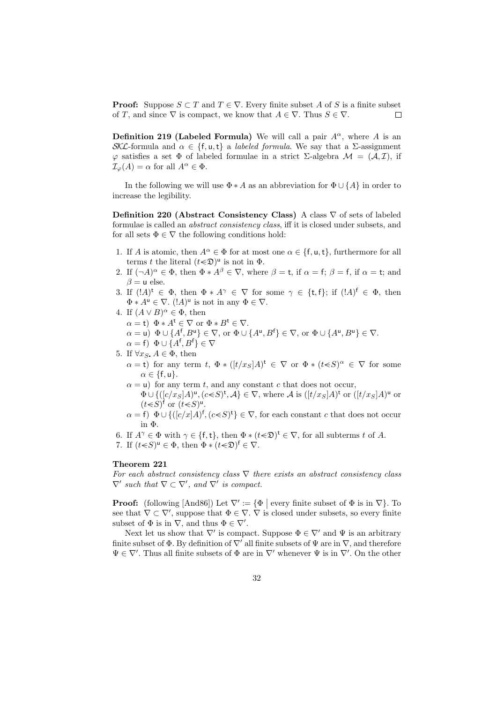**Proof:** Suppose  $S \subset T$  and  $T \in \nabla$ . Every finite subset A of S is a finite subset of T, and since  $\nabla$  is compact, we know that  $A \in \nabla$ . Thus  $S \in \nabla$ .  $\Box$ 

**Definition 219 (Labeled Formula)** We will call a pair  $A^{\alpha}$ , where A is an SKL-formula and  $\alpha \in \{\text{f}, \text{u}, \text{t}\}\$ a labeled formula. We say that a  $\Sigma$ -assignment  $\varphi$  satisfies a set  $\Phi$  of labeled formulae in a strict  $\Sigma$ -algebra  $\mathcal{M} = (\mathcal{A}, \mathcal{I})$ , if  $\mathcal{I}_{\varphi}(A) = \alpha$  for all  $A^{\alpha} \in \Phi$ .

In the following we will use  $\Phi * A$  as an abbreviation for  $\Phi \cup \{A\}$  in order to increase the legibility.

Definition 220 (Abstract Consistency Class) A class  $\nabla$  of sets of labeled formulae is called an *abstract consistency class*, iff it is closed under subsets, and for all sets  $\Phi \in \nabla$  the following conditions hold:

- 1. If A is atomic, then  $A^{\alpha} \in \Phi$  for at most one  $\alpha \in \{\mathsf{f}, \mathsf{u}, \mathsf{t}\}\)$ , furthermore for all terms t the literal  $(t \leq \mathfrak{D})^{\mathsf{u}}$  is not in  $\Phi$ .
- 2. If  $(\neg A)^{\alpha} \in \Phi$ , then  $\Phi * A^{\beta} \in \nabla$ , where  $\beta = \mathsf{t}$ , if  $\alpha = \mathsf{f}$ ;  $\beta = \mathsf{f}$ , if  $\alpha = \mathsf{t}$ ; and  $\beta = u$  else.
- 3. If  $(!A)^{t} \in \Phi$ , then  $\Phi * A^{\gamma} \in \nabla$  for some  $\gamma \in \{\text{t},\text{f}\};$  if  $(!A)^{f} \in \Phi$ , then  $\Phi * A^{\mathsf{u}} \in \nabla$ .  $(!A)^{\mathsf{u}}$  is not in any  $\Phi \in \nabla$ .
- 4. If  $(A \vee B)^{\alpha} \in \Phi$ , then
	- $\alpha = t$ )  $\Phi * A^t \in \nabla$  or  $\Phi * B^t \in \nabla$ .
	- $\alpha = \mathsf{u}$ )  $\Phi \cup \{A^{\mathsf{f}}, B^{\mathsf{u}}\} \in \nabla$ , or  $\Phi \cup \{A^{\mathsf{u}}, B^{\mathsf{f}}\} \in \nabla$ , or  $\Phi \cup \{A^{\mathsf{u}}, B^{\mathsf{u}}\} \in \nabla$ .  $\alpha = f$ )  $\Phi \cup \{A^f, B^f\} \in \nabla$
- 5. If  $\forall x_S \ A \in \Phi$ , then
	- $\alpha = t$ ) for any term t,  $\Phi * ([t/x_S]A)^t \in \nabla$  or  $\Phi * (t \in S)^\alpha \in \nabla$  for some  $\alpha \in \{\mathsf{f},\mathsf{u}\}.$
	- $\alpha = u$ ) for any term t, and any constant c that does not occur,  $\Phi \cup \{([c/x_S]A)^{\mathsf{u}},(c\in S)^{\mathsf{t}},\mathcal{A}\}\in \nabla$ , where  $\mathcal{A}$  is  $([t/x_S]A)^{\mathsf{t}}$  or  $([t/x_S]A)^{\mathsf{u}}$  or  $(t\in S)$ <sup>f</sup> or  $(t\in S)$ <sup>u</sup>.
	- $\alpha = f$ )  $\Phi \cup \{([c/x]A)^f, (c \in S)^t\} \in \nabla$ , for each constant c that does not occur in Φ.

6. If  $A^{\gamma} \in \Phi$  with  $\gamma \in \{\text{f},\text{t}\},\$  then  $\Phi * (t \in \mathfrak{D})^{\mathsf{t}} \in \nabla$ , for all subterms t of A.

7. If  $(t\in S)^{\mathsf{u}} \in \Phi$ , then  $\Phi * (t \in \mathfrak{D})^{\mathsf{f}} \in \nabla$ .

## Theorem 221

For each abstract consistency class  $\nabla$  there exists an abstract consistency class  $\nabla'$  such that  $\nabla \subset \nabla'$ , and  $\nabla'$  is compact.

**Proof:** (following [And86]) Let  $\nabla' := {\Phi \mid \text{every finite subset of } \Phi \text{ is in } \nabla}$ . To see that  $\nabla \subset \nabla'$ , suppose that  $\Phi \in \nabla$ .  $\nabla$  is closed under subsets, so every finite subset of  $\Phi$  is in  $\nabla$ , and thus  $\Phi \in \nabla'$ .

Next let us show that  $\nabla'$  is compact. Suppose  $\Phi \in \nabla'$  and  $\Psi$  is an arbitrary finite subset of  $\Phi$ . By definition of  $\nabla'$  all finite subsets of  $\Psi$  are in  $\nabla$ , and therefore  $\Psi \in \nabla'$ . Thus all finite subsets of  $\Phi$  are in  $\nabla'$  whenever  $\Psi$  is in  $\nabla'$ . On the other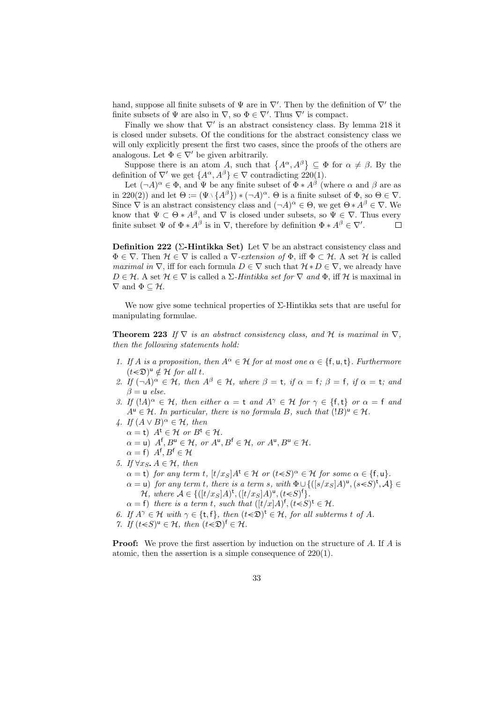hand, suppose all finite subsets of  $\Psi$  are in  $\nabla'$ . Then by the definition of  $\nabla'$  the finite subsets of  $\Psi$  are also in  $\nabla$ , so  $\Phi \in \nabla'$ . Thus  $\nabla'$  is compact.

Finally we show that  $\nabla'$  is an abstract consistency class. By lemma 218 it is closed under subsets. Of the conditions for the abstract consistency class we will only explicitly present the first two cases, since the proofs of the others are analogous. Let  $\Phi \in \nabla'$  be given arbitrarily.

Suppose there is an atom A, such that  $\{A^{\alpha}, A^{\beta}\}\subseteq \Phi$  for  $\alpha \neq \beta$ . By the definition of  $\nabla'$  we get  $\{A^{\alpha}, A^{\beta}\}\in \nabla$  contradicting 220(1).

Let  $(\neg A)^{\alpha} \in \Phi$ , and  $\Psi$  be any finite subset of  $\Phi * A^{\beta}$  (where  $\alpha$  and  $\beta$  are as in 220(2)) and let  $\Theta := (\Psi \setminus \{A^{\beta}\}) * (\neg A)^{\alpha}$ .  $\Theta$  is a finite subset of  $\Phi$ , so  $\Theta \in \nabla$ . Since  $\nabla$  is an abstract consistency class and  $(\neg A)^{\alpha} \in \Theta$ , we get  $\Theta * A^{\beta} \in \nabla$ . We know that  $\Psi \subset \Theta * A^{\beta}$ , and  $\nabla$  is closed under subsets, so  $\Psi \in \nabla$ . Thus every finite subset  $\Psi$  of  $\Phi * A^{\beta}$  is in  $\nabla$ , therefore by definition  $\Phi * A^{\beta} \in \nabla'$ .

Definition 222 ( $\Sigma$ -Hintikka Set) Let  $\nabla$  be an abstract consistency class and  $\Phi \in \nabla$ . Then  $\mathcal{H} \in \nabla$  is called a  $\nabla$ -extension of  $\Phi$ , iff  $\Phi \subset \mathcal{H}$ . A set  $\mathcal{H}$  is called *maximal in*  $\nabla$ , iff for each formula  $D \in \nabla$  such that  $\mathcal{H} * D \in \nabla$ , we already have  $D \in \mathcal{H}$ . A set  $\mathcal{H} \in \nabla$  is called a  $\Sigma$ -Hintikka set for  $\nabla$  and  $\Phi$ , iff  $\mathcal{H}$  is maximal in  $\nabla$  and  $\Phi \subset \mathcal{H}$ .

We now give some technical properties of Σ-Hintikka sets that are useful for manipulating formulae.

**Theorem 223** If  $\nabla$  is an abstract consistency class, and H is maximal in  $\nabla$ . then the following statements hold:

- 1. If A is a proposition, then  $A^{\alpha} \in \mathcal{H}$  for at most one  $\alpha \in \{\text{f}, \text{u}, \text{t}\}\$ . Furthermore  $(t $\leq$  2)<sup>u</sup> ∉ H for all t.$
- 2. If  $(\neg A)^{\alpha} \in \mathcal{H}$ , then  $A^{\beta} \in \mathcal{H}$ , where  $\beta = \mathsf{t}$ , if  $\alpha = \mathsf{f}$ ;  $\beta = \mathsf{f}$ , if  $\alpha = \mathsf{t}$ ; and  $\beta = u$  else.
- 3. If  $(1A)^{\alpha} \in \mathcal{H}$ , then either  $\alpha = \mathsf{t}$  and  $A^{\gamma} \in \mathcal{H}$  for  $\gamma \in \{\mathsf{f},\mathsf{t}\}$  or  $\alpha = \mathsf{f}$  and  $A^{\mathsf{u}} \in \mathcal{H}$ . In particular, there is no formula B, such that  $(!B)^{\mathsf{u}} \in \mathcal{H}$ .
- 4. If  $(A \vee B)^{\alpha} \in \mathcal{H}$ , then
	- $\alpha = t$ )  $A^t \in \mathcal{H}$  or  $B^t \in \mathcal{H}$ .
	- $\alpha = \mathsf{u}$ )  $A^\mathsf{f}, B^\mathsf{u} \in \mathcal{H}$ , or  $A^\mathsf{u}, B^\mathsf{f} \in \mathcal{H}$ , or  $A^\mathsf{u}, B^\mathsf{u} \in \mathcal{H}$ .
- $\alpha = \mathsf{f}$ )  $A^{\mathsf{f}}, B^{\mathsf{f}} \in \mathcal{H}$
- 5. If  $\forall x_S \ A \in \mathcal{H}$ , then
	- $\alpha = t$ ) for any term t,  $[t/x_S]A^t \in \mathcal{H}$  or  $(t \in S)^\alpha \in \mathcal{H}$  for some  $\alpha \in \{\text{f}, \text{u}\}.$
	- $\alpha = \mathsf{u}$ ) for any term t, there is a term s, with  $\Phi \cup \{([s/x_S]A)^{\mathsf{u}}, (s \in S)^{\mathsf{t}}, A\} \in$  $\mathcal{H}, \text{ where } \mathcal{A} \in \{([t/x_S]A)^{\mathsf{t}}, ([t/x_S]A)^{\mathsf{u}}, (t \in S)^{\mathsf{f}}\}.$
	- $\alpha = \mathsf{f}$ ) there is a term t, such that  $([t/x]A)^{\mathsf{f}}$ ,  $(t \leq S)^{\mathsf{t}} \in \mathcal{H}$ .
- 6. If  $A^{\gamma} \in \mathcal{H}$  with  $\gamma \in \{\text{t}, \text{f}\}\$ , then  $(t \in \mathfrak{D})^{\text{t}} \in \mathcal{H}$ , for all subterms t of A.
- 7. If  $(t\in S)^{\mathsf{u}} \in \mathcal{H}$ , then  $(t\in \mathfrak{D})^{\mathsf{f}} \in \mathcal{H}$ .

**Proof:** We prove the first assertion by induction on the structure of A. If A is atomic, then the assertion is a simple consequence of 220(1).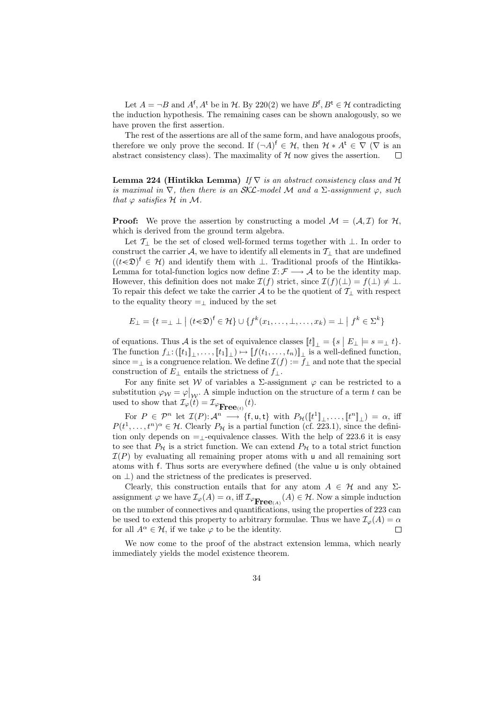Let  $A = \neg B$  and  $A^f$ ,  $A^t$  be in H. By 220(2) we have  $B^f$ ,  $B^t \in \mathcal{H}$  contradicting the induction hypothesis. The remaining cases can be shown analogously, so we have proven the first assertion.

The rest of the assertions are all of the same form, and have analogous proofs, therefore we only prove the second. If  $(\neg A)^f \in \mathcal{H}$ , then  $\mathcal{H} * A^t \in \nabla$  ( $\nabla$  is an abstract consistency class). The maximality of  $H$  now gives the assertion.  $\Box$ 

**Lemma 224 (Hintikka Lemma)** If  $\nabla$  is an abstract consistency class and H is maximal in  $\nabla$ , then there is an SKL-model M and a  $\Sigma$ -assignment  $\varphi$ , such that  $\varphi$  satisfies H in M.

**Proof:** We prove the assertion by constructing a model  $\mathcal{M} = (\mathcal{A}, \mathcal{I})$  for  $\mathcal{H}$ , which is derived from the ground term algebra.

Let  $\mathcal{T}_\perp$  be the set of closed well-formed terms together with  $\perp$ . In order to construct the carrier A, we have to identify all elements in  $\mathcal{T}_\perp$  that are undefined  $((t \in \mathfrak{D})^{\mathsf{f}} \in \mathcal{H})$  and identify them with  $\perp$ . Traditional proofs of the Hintikka-Lemma for total-function logics now define  $\mathcal{I}: \mathcal{F} \longrightarrow \mathcal{A}$  to be the identity map. However, this definition does not make  $\mathcal{I}(f)$  strict, since  $\mathcal{I}(f)(\perp) = f(\perp) \neq \perp$ . To repair this defect we take the carrier A to be the quotient of  $\mathcal{T}_\perp$  with respect to the equality theory  $=$ <sub>⊥</sub> induced by the set

$$
E_{\perp} = \{ t = \perp \perp \mid (t \in \mathfrak{D})^{\mathsf{f}} \in \mathcal{H} \} \cup \{ f^{k}(x_1, \ldots, \perp, \ldots, x_k) = \perp \mid f^{k} \in \Sigma^{k} \}
$$

of equations. Thus A is the set of equivalence classes  $[[t]]_{\perp} = \{s | E_{\perp} \models s =_{\perp} t\}.$ The function  $f_\perp: ([t_1]_\perp,\ldots,[t_1]_\perp) \mapsto [f(t_1,\ldots,t_n)]_\perp$  is a well-defined function, since  $=$ ⊥ is a congruence relation. We define  $\mathcal{I}(f) := f_{\perp}$  and note that the special construction of  $E_{\perp}$  entails the strictness of  $f_{\perp}$ .

For any finite set W of variables a  $\Sigma$ -assignment  $\varphi$  can be restricted to a substitution  $\varphi_W = \varphi|_W$ . A simple induction on the structure of a term t can be used to show that  $\mathcal{I}_{\varphi}(t) = \mathcal{I}_{\varphi_{\mathbf{Free}(t)}}(t)$ .

For  $P \in \mathcal{P}^n$  let  $\mathcal{I}(P) : \mathcal{A}^n \longrightarrow \{\mathsf{f}, \mathsf{u}, \mathsf{t}\}\$  with  $P_{\mathcal{H}}(\llbracket t^1 \rrbracket_\perp, \ldots, \llbracket t^n \rrbracket_\perp) = \alpha$ , iff  $P(t^1, \ldots, t^n)^\alpha \in \mathcal{H}$ . Clearly  $P_{\mathcal{H}}$  is a partial function (cf. 223.1), since the definition only depends on  $=$ <sub>⊥</sub>-equivalence classes. With the help of 223.6 it is easy to see that  $P_{\mathcal{H}}$  is a strict function. We can extend  $P_{\mathcal{H}}$  to a total strict function  $\mathcal{I}(P)$  by evaluating all remaining proper atoms with u and all remaining sort atoms with f. Thus sorts are everywhere defined (the value u is only obtained on  $\perp$ ) and the strictness of the predicates is preserved.

Clearly, this construction entails that for any atom  $A \in \mathcal{H}$  and any  $\Sigma$ assignment  $\varphi$  we have  $\mathcal{I}_{\varphi}(A) = \alpha$ , iff  $\mathcal{I}_{\varphi_{\mathbf{Free}(A)}}(A) \in \mathcal{H}$ . Now a simple induction on the number of connectives and quantifications, using the properties of 223 can be used to extend this property to arbitrary formulae. Thus we have  $\mathcal{I}_{\varphi}(A) = \alpha$ for all  $A^{\alpha} \in \mathcal{H}$ , if we take  $\varphi$  to be the identity.  $\Box$ 

We now come to the proof of the abstract extension lemma, which nearly immediately yields the model existence theorem.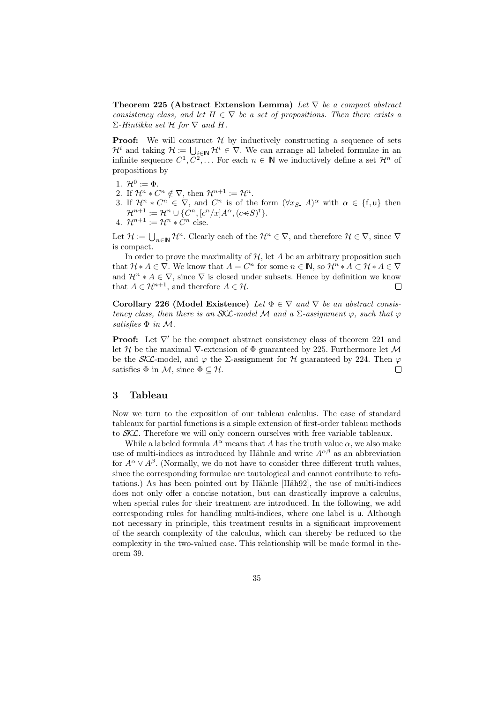Theorem 225 (Abstract Extension Lemma) Let  $\nabla$  be a compact abstract consistency class, and let  $H \in \nabla$  be a set of propositions. Then there exists a  $\Sigma$ -Hintikka set H for  $\nabla$  and H.

**Proof:** We will construct  $H$  by inductively constructing a sequence of sets  $\mathcal{H}^i$  and taking  $\mathcal{H} := \bigcup_{i \in \mathbb{N}} \mathcal{H}^i \in \nabla$ . We can arrange all labeled formulae in an infinite sequence  $C^1, C^2, \ldots$  For each  $n \in \mathbb{N}$  we inductively define a set  $\mathcal{H}^n$  of propositions by

- 1.  $\mathcal{H}^0 := \Phi$ .
- 2. If  $\mathcal{H}^n * C^n \notin \nabla$ , then  $\mathcal{H}^{n+1} := \mathcal{H}^n$ .
- 3. If  $\mathcal{H}^n * C^n \in \nabla$ , and  $C^n$  is of the form  $(\forall x_S \ A)^\alpha$  with  $\alpha \in \{\mathsf{f},\mathsf{u}\}\$ then  $\mathcal{H}^{n+1} := \mathcal{H}^n \cup \{C^n, [c^n/x]A^\alpha, (c \leq S)^{\dagger}\}.$
- 4.  $\mathcal{H}^{n+1} := \mathcal{H}^n * C^n$  else.

Let  $\mathcal{H} := \bigcup_{n \in \mathbb{N}} \mathcal{H}^n$ . Clearly each of the  $\mathcal{H}^n \in \nabla$ , and therefore  $\mathcal{H} \in \nabla$ , since  $\nabla$ is compact.

In order to prove the maximality of  $H$ , let A be an arbitrary proposition such that  $\mathcal{H} * A \in \nabla$ . We know that  $A = C^n$  for some  $n \in \mathbb{N}$ , so  $\mathcal{H}^n * A \subset \mathcal{H} * A \in \nabla$ and  $\mathcal{H}^n * A \in \nabla$ , since  $\nabla$  is closed under subsets. Hence by definition we know that  $A \in \mathcal{H}^{n+1}$ , and therefore  $A \in \mathcal{H}$ .  $\Box$ 

Corollary 226 (Model Existence) Let  $\Phi \in \nabla$  and  $\nabla$  be an abstract consistency class, then there is an SKL-model M and a  $\Sigma$ -assignment  $\varphi$ , such that  $\varphi$ satisfies  $\Phi$  in M.

**Proof:** Let  $\nabla'$  be the compact abstract consistency class of theorem 221 and let H be the maximal  $\nabla$ -extension of  $\Phi$  guaranteed by 225. Furthermore let M be the SKL-model, and  $\varphi$  the  $\Sigma$ -assignment for H guaranteed by 224. Then  $\varphi$ satisfies  $\Phi$  in  $\mathcal{M}$ , since  $\Phi \subseteq \mathcal{H}$ .  $\Box$ 

## 3 Tableau

Now we turn to the exposition of our tableau calculus. The case of standard tableaux for partial functions is a simple extension of first-order tableau methods to SKL. Therefore we will only concern ourselves with free variable tableaux.

While a labeled formula  $A^{\alpha}$  means that A has the truth value  $\alpha$ , we also make use of multi-indices as introduced by Hähnle and write  $A^{\alpha\beta}$  as an abbreviation for  $A^{\alpha} \vee A^{\beta}$ . (Normally, we do not have to consider three different truth values, since the corresponding formulae are tautological and cannot contribute to refutations.) As has been pointed out by Hähnle [Häh92], the use of multi-indices does not only offer a concise notation, but can drastically improve a calculus, when special rules for their treatment are introduced. In the following, we add corresponding rules for handling multi-indices, where one label is u. Although not necessary in principle, this treatment results in a significant improvement of the search complexity of the calculus, which can thereby be reduced to the complexity in the two-valued case. This relationship will be made formal in theorem 39.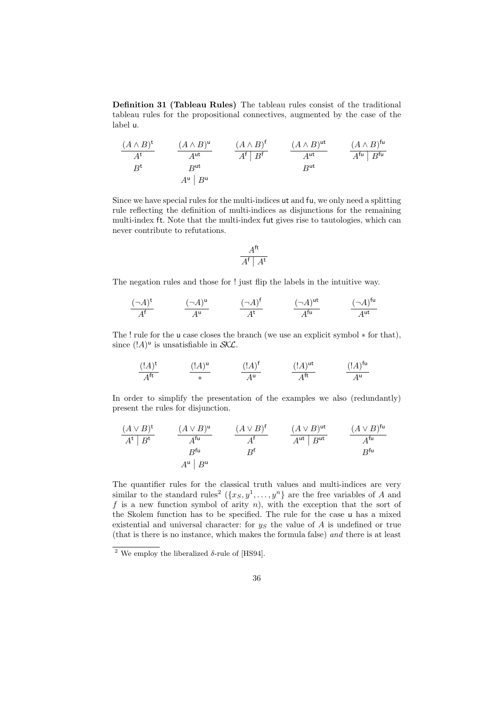Definition 31 (Tableau Rules) The tableau rules consist of the traditional tableau rules for the propositional connectives, augmented by the case of the label u.

$$
\begin{array}{ccc}\n(A \wedge B)^{\mathsf{t}} & (A \wedge B)^{\mathsf{u}} \\
A^{\mathsf{t}} & A^{\mathsf{u}\mathsf{t}} & A^{\mathsf{f}} \mid B^{\mathsf{f}} & A^{\mathsf{u}\mathsf{t}} \\
B^{\mathsf{t}} & B^{\mathsf{u}\mathsf{t}} & A^{\mathsf{u}} \mid B^{\mathsf{u}\mathsf{t}} & B^{\mathsf{u}\mathsf{t}} \\
A^{\mathsf{u}} \mid B^{\mathsf{u}} & B^{\mathsf{u}\mathsf{t}} & B^{\mathsf{u}\mathsf{t}}\n\end{array}
$$

Since we have special rules for the multi-indices ut and fu, we only need a splitting rule reflecting the definition of multi-indices as disjunctions for the remaining multi-index ft. Note that the multi-index fut gives rise to tautologies, which can never contribute to refutations.

$$
\frac{A^{\rm ft}}{A^{\rm f}\left|\right. A^{\rm t}}
$$

The negation rules and those for ! just flip the labels in the intuitive way.

$$
\frac{(\neg A)^{\mathsf{t}}}{A^{\mathsf{f}}} \qquad \qquad \frac{(\neg A)^{\mathsf{u}}}{A^{\mathsf{u}}} \qquad \qquad \frac{(\neg A)^{\mathsf{f}}}{A^{\mathsf{t}}} \qquad \qquad \frac{(\neg A)^{\mathsf{u}\mathsf{t}}}{A^{\mathsf{f}\mathsf{u}}} \qquad \qquad \frac{(\neg A)^{\mathsf{f}\mathsf{u}}}{A^{\mathsf{u}\mathsf{t}}}
$$

The ! rule for the u case closes the branch (we use an explicit symbol ∗ for that), since  $(!A)^u$  is unsatisfiable in  $\mathcal{SKL}$ .

$$
\frac{(\mathsf{!} A)^\mathsf{t}}{A^\mathsf{ft}} \qquad \qquad \frac{(\mathsf{!} A)^\mathsf{u}}{\ast} \qquad \qquad \frac{(\mathsf{!} A)^\mathsf{f}}{A^\mathsf{u}} \qquad \qquad \frac{(\mathsf{!} A)^\mathsf{ut}}{A^\mathsf{ft}} \qquad \qquad \frac{(\mathsf{!} A)^\mathsf{fu}}{A^\mathsf{u}}
$$

In order to simplify the presentation of the examples we also (redundantly) present the rules for disjunction.

$$
\begin{array}{c|c}\n(A \vee B)^{\mathsf{t}} & (A \vee B)^{\mathsf{u}} \\
\hline\nA^{\mathsf{t}} \mid B^{\mathsf{t}} & A^{\mathsf{f}\mathsf{u}} \\
B^{\mathsf{f}\mathsf{u}} & B^{\mathsf{f}} \\
A^{\mathsf{u}} \mid B^{\mathsf{u}}\n\end{array}\n\qquad\n\begin{array}{c}\n(A \vee B)^{\mathsf{f}} \\
\hline\nA^{\mathsf{f}} \\
B^{\mathsf{f}} \\
B^{\mathsf{f}}\n\end{array}\n\qquad\n\begin{array}{c}\n(A \vee B)^{\mathsf{u}\mathsf{t}} \\
\hline\nA^{\mathsf{u}\mathsf{t}} \mid B^{\mathsf{u}\mathsf{t}} \\
B^{\mathsf{f}\mathsf{u}} \\
B^{\mathsf{f}\mathsf{u}}\n\end{array}\n\qquad\n\begin{array}{c}\n(A \vee B)^{\mathsf{f}\mathsf{u}} \\
\hline\nA^{\mathsf{f}\mathsf{u}} \\
B^{\mathsf{f}\mathsf{u}}\n\end{array}
$$

The quantifier rules for the classical truth values and multi-indices are very similar to the standard rules<sup>2</sup>  $({x_S, y<sup>1</sup>, \ldots, y<sup>n</sup>}$  are the free variables of A and f is a new function symbol of arity  $n$ , with the exception that the sort of the Skolem function has to be specified. The rule for the case u has a mixed existential and universal character: for  $y<sub>S</sub>$  the value of A is undefined or true (that is there is no instance, which makes the formula false) and there is at least

<sup>&</sup>lt;sup>2</sup> We employ the liberalized  $\delta$ -rule of [HS94].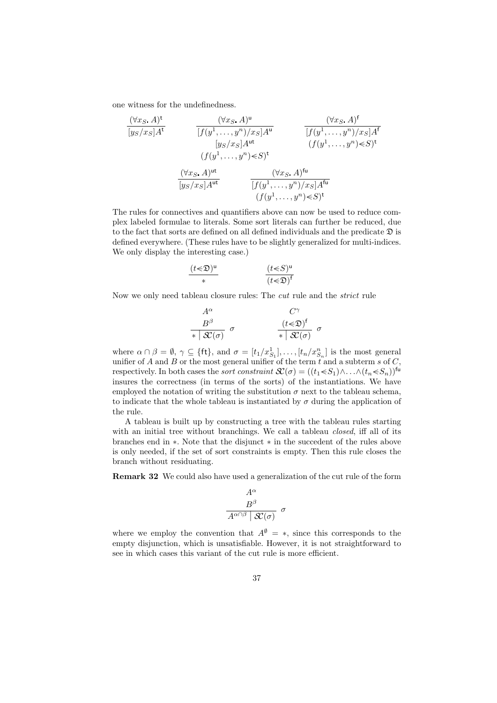one witness for the undefinedness.

$$
\frac{(\forall x_S A)^t}{[y_S/x_S]A^t} \qquad \frac{(\forall x_S A)^u}{[f(y^1, \dots, y^n)/x_S]A^u} \qquad \frac{(\forall x_S A)^f}{[f(y^1, \dots, y^n)/x_S]A^f}
$$
\n
$$
\frac{[y_S/x_S]A^{ut}}{(f(y^1, \dots, y^n) \leq S)^t}
$$
\n
$$
\frac{(\forall x_S A)^{ut}}{[y_S/x_S]A^{ut}} \qquad \frac{(\forall x_S A)^{tu}}{[f(y^1, \dots, y^n)/x_S]A^{tu}}
$$
\n
$$
\frac{(\forall x_S A)^{ut}}{[f(y^1, \dots, y^n) \leq S)^t}
$$
\n
$$
\frac{(\forall x_S A)^{tu}}{(f(y^1, \dots, y^n) \leq S)^t}
$$

The rules for connectives and quantifiers above can now be used to reduce complex labeled formulae to literals. Some sort literals can further be reduced, due to the fact that sorts are defined on all defined individuals and the predicate  $\mathfrak D$  is defined everywhere. (These rules have to be slightly generalized for multi-indices. We only display the interesting case.)

$$
\frac{(t<\mathfrak{D})^{\mathsf{u}}}{*} \qquad \qquad \frac{(t< S)^{\mathsf{u}}}{(t<\mathfrak{D})^{\mathsf{f}}}
$$

Now we only need tableau closure rules: The cut rule and the strict rule

$$
\begin{array}{ccc}\nA^{\alpha} & C^{\gamma} \\
B^{\beta} & \pi & (t \leq \mathfrak{D})^{\mathsf{f}} \\
\hline\n\ast \mid \mathfrak{X}(\sigma) & \pi & \pi \mid \mathfrak{X}(\sigma)\n\end{array}
$$

where  $\alpha \cap \beta = \emptyset$ ,  $\gamma \subseteq \{\text{ft}\}\$ , and  $\sigma = [t_1/x_{S_1}^1], \ldots, [t_n/x_{S_n}^n]$  is the most general unifier of A and B or the most general unifier of the term  $t$  and a subterm s of C. respectively. In both cases the *sort constraint*  $\mathcal{X}(\sigma) = ((t_1 \leq S_1) \land ... \land (t_n \leq S_n))$ <sup>fu</sup> insures the correctness (in terms of the sorts) of the instantiations. We have employed the notation of writing the substitution  $\sigma$  next to the tableau schema, to indicate that the whole tableau is instantiated by  $\sigma$  during the application of the rule.

A tableau is built up by constructing a tree with the tableau rules starting with an initial tree without branchings. We call a tableau *closed*, iff all of its branches end in ∗. Note that the disjunct ∗ in the succedent of the rules above is only needed, if the set of sort constraints is empty. Then this rule closes the branch without residuating.

Remark 32 We could also have used a generalization of the cut rule of the form

$$
\begin{array}{c}\nA^{\alpha} \\
B^{\beta} \\
\hline\nA^{\alpha \cap \beta} \mid \mathfrak{X}(\sigma)\n\end{array}
$$

where we employ the convention that  $A^{\emptyset} = *$ , since this corresponds to the empty disjunction, which is unsatisfiable. However, it is not straightforward to see in which cases this variant of the cut rule is more efficient.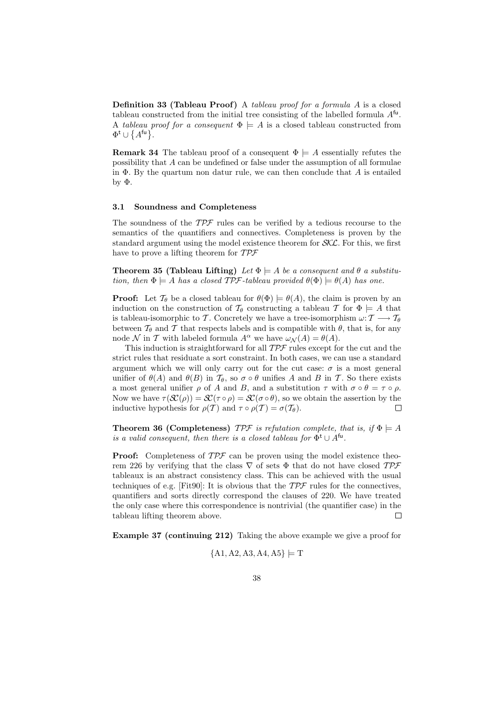Definition 33 (Tableau Proof) A tableau proof for a formula A is a closed tableau constructed from the initial tree consisting of the labelled formula  $A^{f_u}$ . A tableau proof for a consequent  $\Phi \models A$  is a closed tableau constructed from  $\Phi^{\mathsf{t}} \cup \{A^{\mathsf{fu}}\}.$ 

**Remark 34** The tableau proof of a consequent  $\Phi \models A$  essentially refutes the possibility that A can be undefined or false under the assumption of all formulae in  $\Phi$ . By the quartum non datur rule, we can then conclude that A is entailed by Φ.

#### 3.1 Soundness and Completeness

The soundness of the  $T P \mathcal{F}$  rules can be verified by a tedious recourse to the semantics of the quantifiers and connectives. Completeness is proven by the standard argument using the model existence theorem for  $\mathcal{SKL}$ . For this, we first have to prove a lifting theorem for  $T$ P $F$ 

**Theorem 35 (Tableau Lifting)** Let  $\Phi \models A$  be a consequent and  $\theta$  a substitution, then  $\Phi \models A$  has a closed TPF-tableau provided  $\theta(\Phi) \models \theta(A)$  has one.

**Proof:** Let  $\mathcal{T}_{\theta}$  be a closed tableau for  $\theta(\Phi) \models \theta(A)$ , the claim is proven by an induction on the construction of  $\mathcal{T}_{\theta}$  constructing a tableau T for  $\Phi \models A$  that is tableau-isomorphic to T. Concretely we have a tree-isomorphism  $\omega: \mathcal{T} \longrightarrow \mathcal{T}_{\theta}$ between  $\mathcal{T}_{\theta}$  and T that respects labels and is compatible with  $\theta$ , that is, for any node N in T with labeled formula  $A^{\alpha}$  we have  $\omega_{\mathcal{N}}(A) = \theta(A)$ .

This induction is straightforward for all  $T P \mathcal{F}$  rules except for the cut and the strict rules that residuate a sort constraint. In both cases, we can use a standard argument which we will only carry out for the cut case:  $\sigma$  is a most general unifier of  $\theta(A)$  and  $\theta(B)$  in  $\mathcal{T}_{\theta}$ , so  $\sigma \circ \theta$  unifies A and B in T. So there exists a most general unifier  $\rho$  of A and B, and a substitution  $\tau$  with  $\sigma \circ \theta = \tau \circ \rho$ . Now we have  $\tau(\mathcal{X}(\rho)) = \mathcal{X}(\tau \circ \rho) = \mathcal{X}(\sigma \circ \theta)$ , so we obtain the assertion by the inductive hypothesis for  $\rho(T)$  and  $\tau \circ \rho(T) = \sigma(T_{\theta})$ .  $\Box$ 

**Theorem 36 (Completeness)**  $\mathcal{TPF}$  is refutation complete, that is, if  $\Phi \models A$ is a valid consequent, then there is a closed tableau for  $\Phi^t \cup A^{fu}$ .

**Proof:** Completeness of  $T P \mathcal{F}$  can be proven using the model existence theorem 226 by verifying that the class  $\nabla$  of sets  $\Phi$  that do not have closed TPF tableaux is an abstract consistency class. This can be achieved with the usual techniques of e.g. [Fit90]: It is obvious that the  $T P \mathcal{F}$  rules for the connectives, quantifiers and sorts directly correspond the clauses of 220. We have treated the only case where this correspondence is nontrivial (the quantifier case) in the tableau lifting theorem above.  $\Box$ 

Example 37 (continuing 212) Taking the above example we give a proof for

$$
{A1, A2, A3, A4, A5} \models T
$$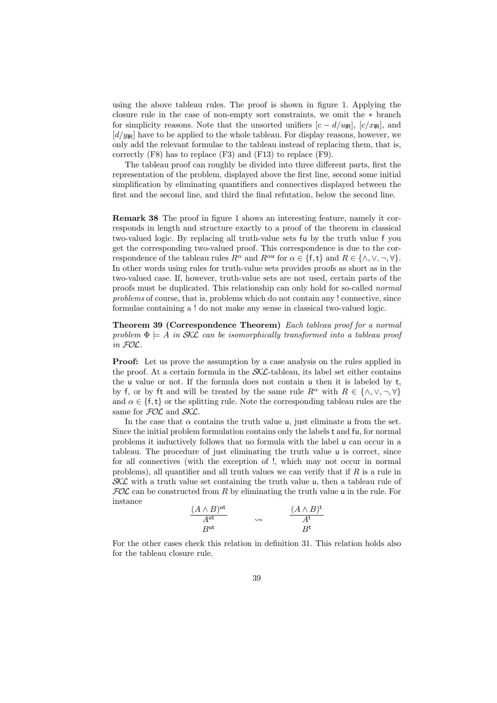using the above tableau rules. The proof is shown in figure 1. Applying the closure rule in the case of non-empty sort constraints, we omit the ∗ branch for simplicity reasons. Note that the unsorted unifiers  $[c - d/u_{\mathbb{R}}]$ ,  $[c/x_{\mathbb{R}}]$ , and  $\left[\frac{d}{y_{\text{IR}}}\right]$  have to be applied to the whole tableau. For display reasons, however, we only add the relevant formulae to the tableau instead of replacing them, that is, correctly (F8) has to replace (F3) and (F13) to replace (F9).

The tableau proof can roughly be divided into three different parts, first the representation of the problem, displayed above the first line, second some initial simplification by eliminating quantifiers and connectives displayed between the first and the second line, and third the final refutation, below the second line.

Remark 38 The proof in figure 1 shows an interesting feature, namely it corresponds in length and structure exactly to a proof of the theorem in classical two-valued logic. By replacing all truth-value sets fu by the truth value f you get the corresponding two-valued proof. This correspondence is due to the correspondence of the tableau rules  $R^{\alpha}$  and  $R^{\alpha}$  for  $\alpha \in \{\text{f},\text{t}\}\$  and  $R \in \{\wedge,\vee,\neg,\forall\}.$ In other words using rules for truth-value sets provides proofs as short as in the two-valued case. If, however, truth-value sets are not used, certain parts of the proofs must be duplicated. This relationship can only hold for so-called normal problems of course, that is, problems which do not contain any ! connective, since formulae containing a ! do not make any sense in classical two-valued logic.

Theorem 39 (Correspondence Theorem) Each tableau proof for a normal problem  $\Phi \models A$  in SKL can be isomorphically transformed into a tableau proof in FOL.

**Proof:** Let us prove the assumption by a case analysis on the rules applied in the proof. At a certain formula in the  $\mathcal{SKL}\text{-tableau}$ , its label set either contains the u value or not. If the formula does not contain u then it is labeled by t, by f, or by ft and will be treated by the same rule  $R^{\alpha}$  with  $R \in \{\wedge, \vee, \neg, \forall\}$ and  $\alpha \in \{\mathsf{f},\mathsf{t}\}\)$  or the splitting rule. Note the corresponding tableau rules are the same for  $FOL$  and  $SKL$ .

In the case that  $\alpha$  contains the truth value u, just eliminate u from the set. Since the initial problem formulation contains only the labels t and fu, for normal problems it inductively follows that no formula with the label u can occur in a tableau. The procedure of just eliminating the truth value u is correct, since for all connectives (with the exception of !, which may not occur in normal problems), all quantifier and all truth values we can verify that if  $R$  is a rule in  $SKL$  with a truth value set containing the truth value u, then a tableau rule of  $FOL$  can be constructed from R by eliminating the truth value u in the rule. For instance

$$
\begin{array}{ccc}\n(A \wedge B)^{\text{ut}} & & A^{\text{ut}} \\
A^{\text{ut}} & & \rightarrow & A^{\text{t}} \\
B^{\text{ut}} & & B^{\text{t}}\n\end{array}
$$

For the other cases check this relation in definition 31. This relation holds also for the tableau closure rule.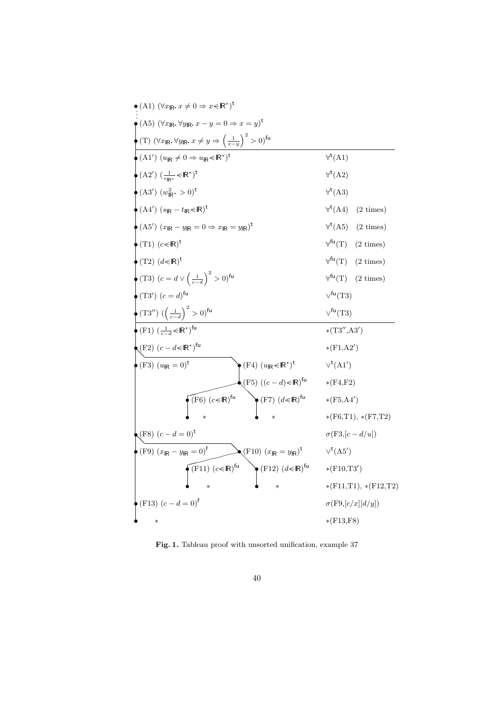| $\bullet$ (A1) $(\forall x_{\mathsf{IR}} \cdot x \neq 0 \Rightarrow x \in \mathsf{IR}^*)^{\mathsf{t}}$                                           |                                                    |
|--------------------------------------------------------------------------------------------------------------------------------------------------|----------------------------------------------------|
| $\bigotimes (A5)$ $(\forall x_{\mathbb{R}} \ \forall y_{\mathbb{R}} \ x - y = 0 \Rightarrow x = y)^{\mathsf{t}}$                                 |                                                    |
| $\bigg( \text{T} \big)$ $(\forall x_{\text{IR}} \ \forall y_{\text{IR}} \ x \neq y \Rightarrow \left( \frac{1}{x-y} \right)^2 > 0 )^{\text{fu}}$ |                                                    |
| $\blacklozenge (\mathrm{A1}^{\prime})$ $(u_{\mathsf{IR}} \neq 0 \Rightarrow u_{\mathsf{IR}} \leq \mathsf{IR}^*)^{\mathsf{t}}$                    | $\forall^{\mathsf{t}}(A1)$                         |
| $\bigoplus (A2') \; (\frac{1}{v_{\mathsf{IR}^*}} \in \mathsf{IR}^*)^{\mathsf{t}}$                                                                | $\forall^{\mathsf{t}}(A2)$                         |
| $\bullet$ (A3') $(w_{\mathbb{R}^*}^2 > 0)^{\mathsf{t}}$                                                                                          | $\forall^{\mathsf{t}}(A3)$                         |
| $\bullet$ (A4') $(s_{\text{IR}} - t_{\text{IR}} \leq \text{IR})^{\text{t}}$                                                                      | $\forall^{\mathsf{t}}(A4) \quad (2 \text{ times})$ |
| $\bigg( \mathbf{A5}' \big)$ $(x_{\mathsf{IR}} - y_{\mathsf{IR}} = 0 \Rightarrow x_{\mathsf{IR}} = y_{\mathsf{IR}} )^{\mathsf{t}}$                | $\forall^{\mathsf{t}}(A5) \quad (2 \text{ times})$ |
| $\bullet$ (T1) $(c \in \mathbb{R})^t$                                                                                                            | $\forall^{fu}(T)$ (2 times)                        |
| $\bullet$ (T2) $(d \leq R)^t$                                                                                                                    | $\forall^{fu}(T)$ (2 times)                        |
| (T3) $(c = d \vee \left(\frac{1}{c-d}\right)^2 > 0)$ <sup>fu</sup>                                                                               | $\forall^{fu}(T)$ (2 times)                        |
| $\bullet$ (T3') $(c = d)^{tu}$                                                                                                                   | $\vee^{\text{fu}}(\text{T3})$                      |
| $\left( \text{T3''} \right) \left( \left( \frac{1}{c-d} \right)^2 > 0 \right)^{\text{fu}}$                                                       | $\vee^{\text{fu}}(\text{T3})$                      |
| $\bullet$ (F1) $(\frac{1}{c-d}$ ∈ R <sup>*</sup> ) <sup>fu</sup>                                                                                 | $*(T3'', A3')$                                     |
| $\left( \text{F2}\right) (c-d \leq \mathbb{R}^*)^{\text{fu}}$                                                                                    | $*(F1, A2')$                                       |
| $\bullet$ (F3) $(u_{\mathbb{R}}=0)^{\mathsf{t}}$<br>$\blacktriangleright$ (F4) $(u_{\mathsf{IR}} \ll \mathsf{IR}^*)^{\mathsf{t}}$                | $V^{\mathsf{t}}(A1')$                              |
| $\left( \text{F5}\right) \, ((c-d) \leq \mathbb{R})^{\text{fu}}$                                                                                 | $*(F4, F2)$                                        |
| $\bar{\bullet}$ (F6) $(c < \mathbb{R})^{\text{fu}}$ (F7) $(d < \mathbb{R})^{\text{fu}}$                                                          | $*(F5, A4')$                                       |
|                                                                                                                                                  | $*(F6,T1), *(F7,T2)$                               |
| $(F8) (c - d = 0)^t$                                                                                                                             | $\sigma$ (F3,[c – d/u])                            |
| (F9) $(x_{\text{IR}} - y_{\text{IR}} = 0)^f$ (F10) $(x_{\text{IR}} = y_{\text{IR}})^t$                                                           | $V^{\mathsf{t}}(A5')$                              |
| (F11) $(c \le R)^{fu}$ (F12) $(d \le R)^{fu}$                                                                                                    | $*(F10,T3')$                                       |
| $\ast$                                                                                                                                           | $*(F11,T1), *(F12,T2)$                             |
| (F13) $(c - d = 0)^{\dagger}$                                                                                                                    | $\sigma$ (F9,[c/x][d/y])                           |
| $\ast$                                                                                                                                           | $*(F13,F8)$                                        |

Fig. 1. Tableau proof with unsorted unification, example 37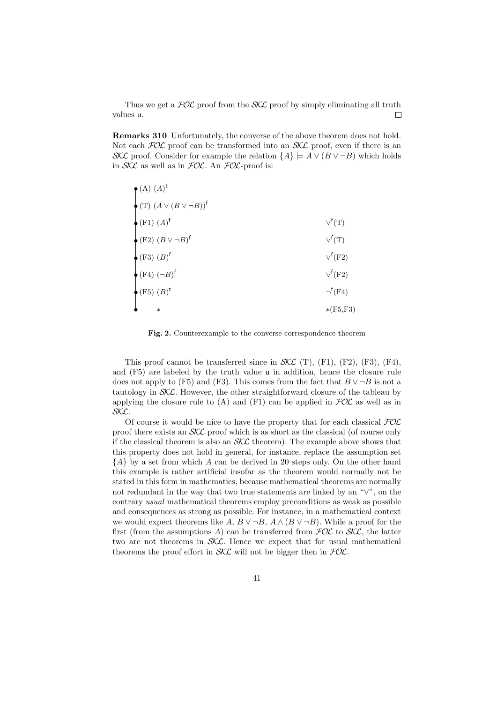Thus we get a  $FOL$  proof from the  $SKL$  proof by simply eliminating all truth values u.  $\Box$ 

Remarks 310 Unfortunately, the converse of the above theorem does not hold. Not each  $FOL$  proof can be transformed into an  $SKL$  proof, even if there is an SKL proof. Consider for example the relation  $\{A\} \models A \vee (B \vee \neg B)$  which holds in  $\mathcal{SKL}$  as well as in  $\mathcal{FOL}$ . An  $\mathcal{FOL}$ -proof is:

\n (A) 
$$
(A)^t
$$
  
\n (T)  $(A \vee (B \vee \neg B))^f$   
\n (F1)  $(A)^f$   
\n (F2)  $(B \vee \neg B)^f$   
\n (F3)  $(B)^f$   
\n (F4)  $(\neg B)^f$   
\n (F5)  $(B)^t$   
\n \*  
\n (\*F5,F3)\n

Fig. 2. Counterexample to the converse correspondence theorem

This proof cannot be transferred since in  $\mathcal{SKL}$  (T), (F1), (F2), (F3), (F4), and (F5) are labeled by the truth value u in addition, hence the closure rule does not apply to (F5) and (F3). This comes from the fact that  $B \vee \neg B$  is not a tautology in SKL. However, the other straightforward closure of the tableau by applying the closure rule to (A) and (F1) can be applied in  $FOL$  as well as in SKL.

Of course it would be nice to have the property that for each classical  $\mathcal{FOL}$ proof there exists an SKL proof which is as short as the classical (of course only if the classical theorem is also an  $\mathcal{SKL}$  theorem). The example above shows that this property does not hold in general, for instance, replace the assumption set {A} by a set from which A can be derived in 20 steps only. On the other hand this example is rather artificial insofar as the theorem would normally not be stated in this form in mathematics, because mathematical theorems are normally not redundant in the way that two true statements are linked by an "∨", on the contrary usual mathematical theorems employ preconditions as weak as possible and consequences as strong as possible. For instance, in a mathematical context we would expect theorems like A,  $B \vee \neg B$ ,  $A \wedge (B \vee \neg B)$ . While a proof for the first (from the assumptions A) can be transferred from  $FOL$  to  $SKC$ , the latter two are not theorems in SKL. Hence we expect that for usual mathematical theorems the proof effort in  $\mathcal{SKL}$  will not be bigger then in  $\mathcal{FOL}$ .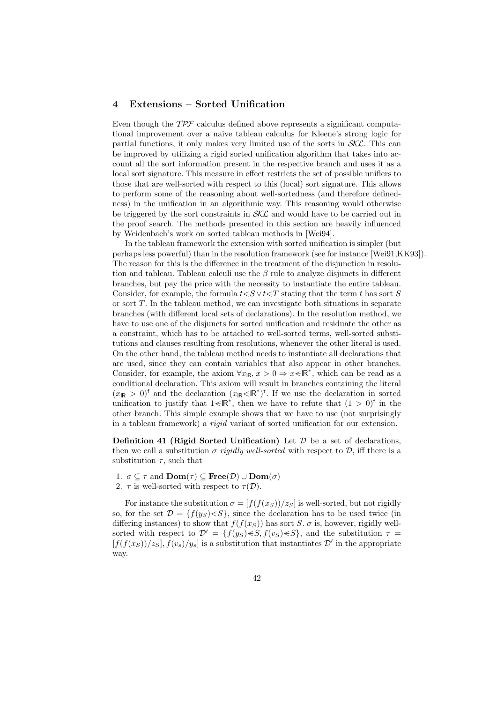# 4 Extensions – Sorted Unification

Even though the  $T\mathcal{P}\mathcal{F}$  calculus defined above represents a significant computational improvement over a naive tableau calculus for Kleene's strong logic for partial functions, it only makes very limited use of the sorts in  $\mathcal{SKL}$ . This can be improved by utilizing a rigid sorted unification algorithm that takes into account all the sort information present in the respective branch and uses it as a local sort signature. This measure in effect restricts the set of possible unifiers to those that are well-sorted with respect to this (local) sort signature. This allows to perform some of the reasoning about well-sortedness (and therefore definedness) in the unification in an algorithmic way. This reasoning would otherwise be triggered by the sort constraints in SKL and would have to be carried out in the proof search. The methods presented in this section are heavily influenced by Weidenbach's work on sorted tableau methods in [Wei94].

In the tableau framework the extension with sorted unification is simpler (but perhaps less powerful) than in the resolution framework (see for instance [Wei91,KK93]). The reason for this is the difference in the treatment of the disjunction in resolution and tableau. Tableau calculi use the  $\beta$  rule to analyze disjuncts in different branches, but pay the price with the necessity to instantiate the entire tableau. Consider, for example, the formula  $t\leq S \vee t\leq T$  stating that the term t has sort S or sort T. In the tableau method, we can investigate both situations in separate branches (with different local sets of declarations). In the resolution method, we have to use one of the disjuncts for sorted unification and residuate the other as a constraint, which has to be attached to well-sorted terms, well-sorted substitutions and clauses resulting from resolutions, whenever the other literal is used. On the other hand, the tableau method needs to instantiate all declarations that are used, since they can contain variables that also appear in other branches. Consider, for example, the axiom  $\forall x_{\mathbb{R}} \cdot x > 0 \Rightarrow x \in \mathbb{R}^*$ , which can be read as a conditional declaration. This axiom will result in branches containing the literal  $(x_{\mathbb{R}} > 0)$ <sup>f</sup> and the declaration  $(x_{\mathbb{R}} \ll \mathbb{R}^*)^t$ . If we use the declaration in sorted unification to justify that  $1 \leq R^*$ , then we have to refute that  $(1 > 0)^f$  in the other branch. This simple example shows that we have to use (not surprisingly in a tableau framework) a rigid variant of sorted unification for our extension.

**Definition 41 (Rigid Sorted Unification)** Let  $\mathcal{D}$  be a set of declarations, then we call a substitution  $\sigma$  rigidly well-sorted with respect to  $\mathcal{D}$ , iff there is a substitution  $\tau$ , such that

1.  $\sigma \subseteq \tau$  and  $\text{Dom}(\tau) \subseteq \text{Free}(\mathcal{D}) \cup \text{Dom}(\sigma)$ 

2.  $\tau$  is well-sorted with respect to  $\tau(\mathcal{D})$ .

For instance the substitution  $\sigma = [f(f(x_S))/z_S]$  is well-sorted, but not rigidly so, for the set  $\mathcal{D} = \{f(y_S) \in S\}$ , since the declaration has to be used twice (in differing instances) to show that  $f(f(x_S))$  has sort S.  $\sigma$  is, however, rigidly wellsorted with respect to  $\mathcal{D}' = \{f(y_S) \leq S, f(v_S) \leq S\}$ , and the substitution  $\tau =$  $[f(f(x_S))/z_S], f(v_s)/y_s]$  is a substitution that instantiates  $\mathcal{D}'$  in the appropriate way.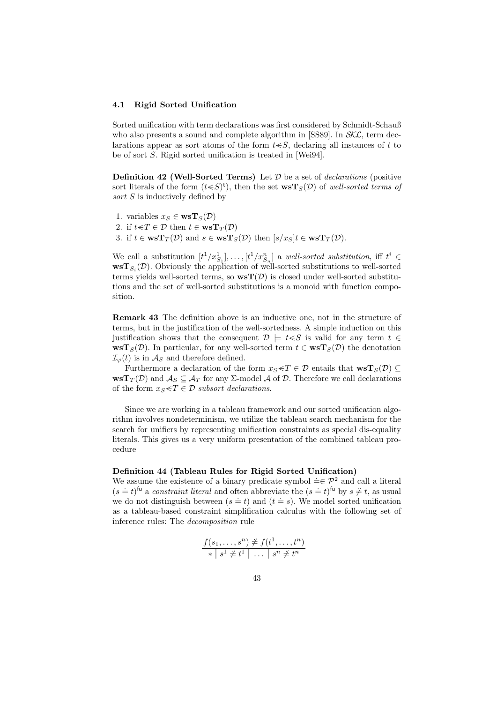## 4.1 Rigid Sorted Unification

Sorted unification with term declarations was first considered by Schmidt-Schauß who also presents a sound and complete algorithm in  $[SS89]$ . In  $\mathcal{SKL}$ , term declarations appear as sort atoms of the form  $t \leq S$ , declaring all instances of t to be of sort S. Rigid sorted unification is treated in [Wei94].

**Definition 42 (Well-Sorted Terms)** Let  $D$  be a set of *declarations* (positive sort literals of the form  $(t\in S)^t$ , then the set  $\mathbf{wsT}_S(\mathcal{D})$  of well-sorted terms of sort S is inductively defined by

- 1. variables  $x_S \in \mathbf{wsT}_S(\mathcal{D})$
- 2. if  $t \in T \in \mathcal{D}$  then  $t \in \mathbf{wsT}_{T}(\mathcal{D})$
- 3. if  $t \in \mathbf{wsT}_{T}(\mathcal{D})$  and  $s \in \mathbf{wsT}_{S}(\mathcal{D})$  then  $[s/x_{S}]t \in \mathbf{wsT}_{T}(\mathcal{D})$ .

We call a substitution  $[t^1/x_{S_1}^1], \ldots, [t^1/x_{S_n}^n]$  a well-sorted substitution, iff  $t^i \in$  $\text{wsT}_{S_i}(\mathcal{D})$ . Obviously the application of well-sorted substitutions to well-sorted terms yields well-sorted terms, so  $\text{wsT}(\mathcal{D})$  is closed under well-sorted substitutions and the set of well-sorted substitutions is a monoid with function composition.

Remark 43 The definition above is an inductive one, not in the structure of terms, but in the justification of the well-sortedness. A simple induction on this justification shows that the consequent  $\mathcal{D} \models t \leq S$  is valid for any term  $t \in$  $\mathbf{wsT}_{S}(\mathcal{D})$ . In particular, for any well-sorted term  $t \in \mathbf{wsT}_{S}(\mathcal{D})$  the denotation  $\mathcal{I}_{\varphi}(t)$  is in  $\mathcal{A}_{S}$  and therefore defined.

Furthermore a declaration of the form  $x_S \leq T \in \mathcal{D}$  entails that  $\mathbf{wsT}_{S}(\mathcal{D}) \subseteq$  $\text{wsT}_{T}(\mathcal{D})$  and  $\mathcal{A}_{S} \subseteq \mathcal{A}_{T}$  for any  $\Sigma$ -model  $\mathcal{A}$  of  $\mathcal{D}$ . Therefore we call declarations of the form  $x_S \le T \in \mathcal{D}$  subsort declarations.

Since we are working in a tableau framework and our sorted unification algorithm involves nondeterminism, we utilize the tableau search mechanism for the search for unifiers by representing unification constraints as special dis-equality literals. This gives us a very uniform presentation of the combined tableau procedure

## Definition 44 (Tableau Rules for Rigid Sorted Unification)

We assume the existence of a binary predicate symbol  $\dot{=} \in \mathcal{P}^2$  and call a literal ( $s = t$ )<sup>fu</sup> a *constraint literal* and often abbreviate the  $(s = t)$ <sup>fu</sup> by  $s \neq t$ , as usual we do not distinguish between  $(s = t)$  and  $(t = s)$ . We model sorted unification as a tableau-based constraint simplification calculus with the following set of inference rules: The decomposition rule

$$
\frac{f(s_1,\ldots,s^n) \neq f(t^1,\ldots,t^n)}{s \mid s^1 \neq t^1 \mid \ldots \mid s^n \neq t^n}
$$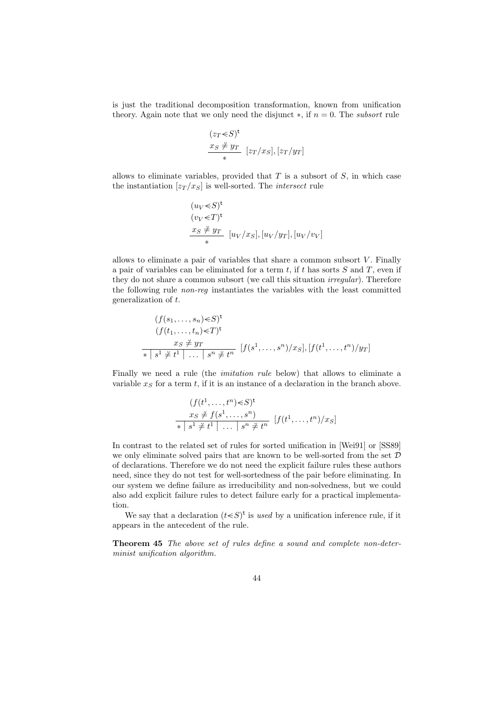is just the traditional decomposition transformation, known from unification theory. Again note that we only need the disjunct  $\ast$ , if  $n = 0$ . The *subsort* rule

$$
(z_T \leq S)^{\mathsf{t}}
$$

$$
\frac{x_S \neq y_T}{*} [z_T/x_S], [z_T/y_T]
$$

allows to eliminate variables, provided that  $T$  is a subsort of  $S$ , in which case the instantiation  $[z_T / x_S]$  is well-sorted. The *intersect* rule

$$
(u_V \leq S)^{\mathsf{t}}
$$
  
\n
$$
(v_V \leq T)^{\mathsf{t}}
$$
  
\n
$$
\frac{x_S \neq y_T}{*} [u_V/x_S], [u_V/y_T], [u_V/v_V]
$$

allows to eliminate a pair of variables that share a common subsort  $V$ . Finally a pair of variables can be eliminated for a term  $t$ , if  $t$  has sorts  $S$  and  $T$ , even if they do not share a common subsort (we call this situation irregular). Therefore the following rule non-reg instantiates the variables with the least committed generalization of t.

$$
(f(s_1, \ldots, s_n) \leq S)^{\mathsf{t}}
$$
  
\n
$$
(f(t_1, \ldots, t_n) \leq T)^{\mathsf{t}}
$$
  
\n
$$
\frac{x_S \neq y_T}{* |s^1 \neq t^1 | \ldots |s^n \neq t^n} [f(s^1, \ldots, s^n)/x_S], [f(t^1, \ldots, t^n)/y_T]
$$

Finally we need a rule (the imitation rule below) that allows to eliminate a variable  $x<sub>S</sub>$  for a term t, if it is an instance of a declaration in the branch above.

$$
(f(t1,...,tn)<\mathcal{S})t
$$
  
\n
$$
\frac{x_{S} \neq f(s1,...,sn)}{s1 \neq t1 | ... | sn \neq tn} [f(t1,...,tn)/x_{S}]
$$

In contrast to the related set of rules for sorted unification in [Wei91] or [SS89] we only eliminate solved pairs that are known to be well-sorted from the set  $D$ of declarations. Therefore we do not need the explicit failure rules these authors need, since they do not test for well-sortedness of the pair before eliminating. In our system we define failure as irreducibility and non-solvedness, but we could also add explicit failure rules to detect failure early for a practical implementation.

We say that a declaration  $(t\in S)^t$  is used by a unification inference rule, if it appears in the antecedent of the rule.

Theorem 45 The above set of rules define a sound and complete non-determinist unification algorithm.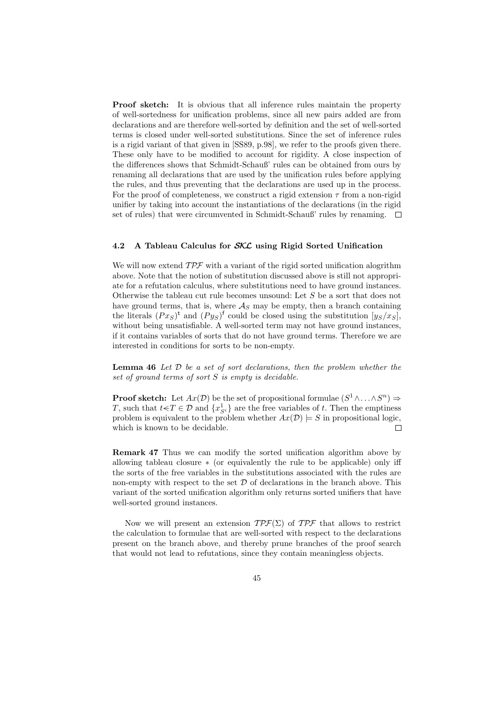Proof sketch: It is obvious that all inference rules maintain the property of well-sortedness for unification problems, since all new pairs added are from declarations and are therefore well-sorted by definition and the set of well-sorted terms is closed under well-sorted substitutions. Since the set of inference rules is a rigid variant of that given in [SS89, p.98], we refer to the proofs given there. These only have to be modified to account for rigidity. A close inspection of the differences shows that Schmidt-Schauß' rules can be obtained from ours by renaming all declarations that are used by the unification rules before applying the rules, and thus preventing that the declarations are used up in the process. For the proof of completeness, we construct a rigid extension  $\tau$  from a non-rigid unifier by taking into account the instantiations of the declarations (in the rigid set of rules) that were circumvented in Schmidt-Schauß' rules by renaming.  $\Box$ 

## 4.2 A Tableau Calculus for  $S\mathcal{K}\mathcal{L}$  using Rigid Sorted Unification

We will now extend  $T P \mathcal{F}$  with a variant of the rigid sorted unification alogrithm above. Note that the notion of substitution discussed above is still not appropriate for a refutation calculus, where substitutions need to have ground instances. Otherwise the tableau cut rule becomes unsound: Let S be a sort that does not have ground terms, that is, where  $A<sub>S</sub>$  may be empty, then a branch containing the literals  $(Px_S)^t$  and  $(Py_S)^f$  could be closed using the substitution  $[y_S/x_S]$ , without being unsatisfiable. A well-sorted term may not have ground instances, if it contains variables of sorts that do not have ground terms. Therefore we are interested in conditions for sorts to be non-empty.

**Lemma 46** Let  $D$  be a set of sort declarations, then the problem whether the set of ground terms of sort S is empty is decidable.

**Proof sketch:** Let  $Ax(\mathcal{D})$  be the set of propositional formulae  $(S^1 \wedge \ldots \wedge S^n) \Rightarrow$ T, such that  $t \in T \in \mathcal{D}$  and  $\{x_{S_i}^1\}$  are the free variables of t. Then the emptiness problem is equivalent to the problem whether  $Ax(D) \models S$  in propositional logic, which is known to be decidable.  $\Box$ 

Remark 47 Thus we can modify the sorted unification algorithm above by allowing tableau closure ∗ (or equivalently the rule to be applicable) only iff the sorts of the free variables in the substitutions associated with the rules are non-empty with respect to the set  $\mathcal D$  of declarations in the branch above. This variant of the sorted unification algorithm only returns sorted unifiers that have well-sorted ground instances.

Now we will present an extension  $T$ P $\mathcal{F}(\Sigma)$  of  $T$ P $\mathcal{F}$  that allows to restrict the calculation to formulae that are well-sorted with respect to the declarations present on the branch above, and thereby prune branches of the proof search that would not lead to refutations, since they contain meaningless objects.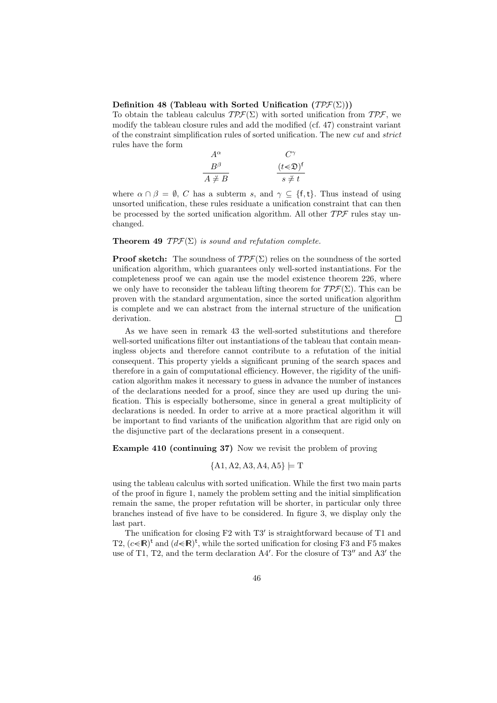#### Definition 48 (Tableau with Sorted Unification  $(TPF(\Sigma)))$

To obtain the tableau calculus  $TPT(\Sigma)$  with sorted unification from  $TPT$ , we modify the tableau closure rules and add the modified (cf. 47) constraint variant of the constraint simplification rules of sorted unification. The new cut and strict rules have the form

| $A^{\alpha}$ | $C^{\gamma}$           |
|--------------|------------------------|
| $B^{\beta}$  | $(t\in\mathfrak{D})^f$ |
| $A \neq B$   | $s \neq t$             |

where  $\alpha \cap \beta = \emptyset$ , C has a subterm s, and  $\gamma \subseteq \{\text{f},\text{t}\}\$ . Thus instead of using unsorted unification, these rules residuate a unification constraint that can then be processed by the sorted unification algorithm. All other  $T P F$  rules stay unchanged.

**Theorem 49**  $TPF(\Sigma)$  **is sound and refutation complete.** 

**Proof sketch:** The soundness of  $\mathcal{TPF}(\Sigma)$  relies on the soundness of the sorted unification algorithm, which guarantees only well-sorted instantiations. For the completeness proof we can again use the model existence theorem 226, where we only have to reconsider the tableau lifting theorem for  $TPT(\Sigma)$ . This can be proven with the standard argumentation, since the sorted unification algorithm is complete and we can abstract from the internal structure of the unification derivation.  $\Box$ 

As we have seen in remark 43 the well-sorted substitutions and therefore well-sorted unifications filter out instantiations of the tableau that contain meaningless objects and therefore cannot contribute to a refutation of the initial consequent. This property yields a significant pruning of the search spaces and therefore in a gain of computational efficiency. However, the rigidity of the unification algorithm makes it necessary to guess in advance the number of instances of the declarations needed for a proof, since they are used up during the unification. This is especially bothersome, since in general a great multiplicity of declarations is needed. In order to arrive at a more practical algorithm it will be important to find variants of the unification algorithm that are rigid only on the disjunctive part of the declarations present in a consequent.

Example 410 (continuing 37) Now we revisit the problem of proving

$$
{A1, A2, A3, A4, A5} \models T
$$

using the tableau calculus with sorted unification. While the first two main parts of the proof in figure 1, namely the problem setting and the initial simplification remain the same, the proper refutation will be shorter, in particular only three branches instead of five have to be considered. In figure 3, we display only the last part.

The unification for closing  $F2$  with  $T3'$  is straightforward because of T1 and T2,  $(c \leq \mathbb{R})^t$  and  $(d \leq \mathbb{R})^t$ , while the sorted unification for closing F3 and F5 makes use of T1, T2, and the term declaration  $A4'$ . For the closure of T3" and  $A3'$  the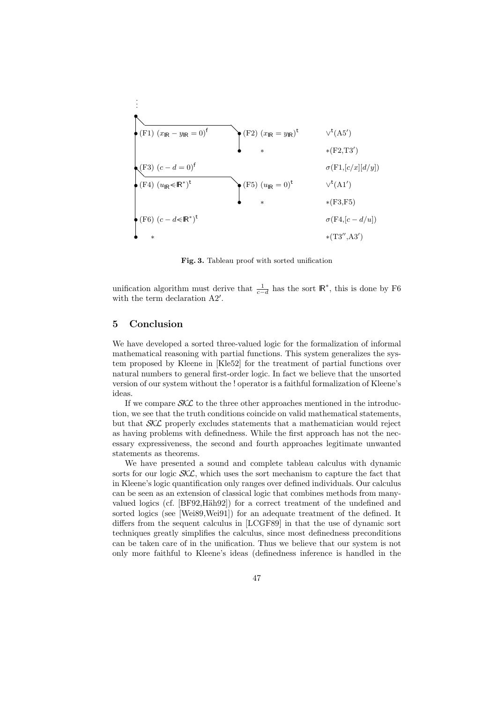

Fig. 3. Tableau proof with sorted unification

unification algorithm must derive that  $\frac{1}{c-d}$  has the sort  $\mathbb{R}^*$ , this is done by F6 with the term declaration  $A2'$ .

# 5 Conclusion

We have developed a sorted three-valued logic for the formalization of informal mathematical reasoning with partial functions. This system generalizes the system proposed by Kleene in [Kle52] for the treatment of partial functions over natural numbers to general first-order logic. In fact we believe that the unsorted version of our system without the ! operator is a faithful formalization of Kleene's ideas.

If we compare  $\mathcal{SKL}$  to the three other approaches mentioned in the introduction, we see that the truth conditions coincide on valid mathematical statements, but that  $\mathcal{SKL}$  properly excludes statements that a mathematician would reject as having problems with definedness. While the first approach has not the necessary expressiveness, the second and fourth approaches legitimate unwanted statements as theorems.

We have presented a sound and complete tableau calculus with dynamic sorts for our logic  $\mathcal{SKL}$ , which uses the sort mechanism to capture the fact that in Kleene's logic quantification only ranges over defined individuals. Our calculus can be seen as an extension of classical logic that combines methods from manyvalued logics (cf. [BF92, Häh92]) for a correct treatment of the undefined and sorted logics (see [Wei89,Wei91]) for an adequate treatment of the defined. It differs from the sequent calculus in [LCGF89] in that the use of dynamic sort techniques greatly simplifies the calculus, since most definedness preconditions can be taken care of in the unification. Thus we believe that our system is not only more faithful to Kleene's ideas (definedness inference is handled in the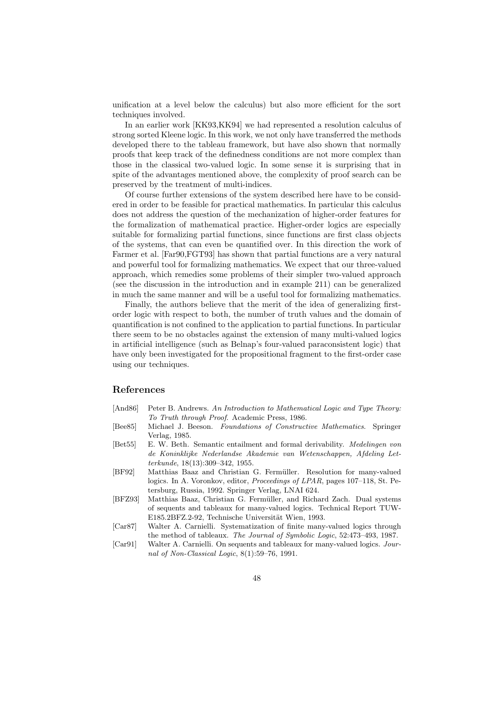unification at a level below the calculus) but also more efficient for the sort techniques involved.

In an earlier work [KK93,KK94] we had represented a resolution calculus of strong sorted Kleene logic. In this work, we not only have transferred the methods developed there to the tableau framework, but have also shown that normally proofs that keep track of the definedness conditions are not more complex than those in the classical two-valued logic. In some sense it is surprising that in spite of the advantages mentioned above, the complexity of proof search can be preserved by the treatment of multi-indices.

Of course further extensions of the system described here have to be considered in order to be feasible for practical mathematics. In particular this calculus does not address the question of the mechanization of higher-order features for the formalization of mathematical practice. Higher-order logics are especially suitable for formalizing partial functions, since functions are first class objects of the systems, that can even be quantified over. In this direction the work of Farmer et al. [Far90,FGT93] has shown that partial functions are a very natural and powerful tool for formalizing mathematics. We expect that our three-valued approach, which remedies some problems of their simpler two-valued approach (see the discussion in the introduction and in example 211) can be generalized in much the same manner and will be a useful tool for formalizing mathematics.

Finally, the authors believe that the merit of the idea of generalizing firstorder logic with respect to both, the number of truth values and the domain of quantification is not confined to the application to partial functions. In particular there seem to be no obstacles against the extension of many multi-valued logics in artificial intelligence (such as Belnap's four-valued paraconsistent logic) that have only been investigated for the propositional fragment to the first-order case using our techniques.

# References

- [And86] Peter B. Andrews. An Introduction to Mathematical Logic and Type Theory: To Truth through Proof. Academic Press, 1986.
- [Bee85] Michael J. Beeson. Foundations of Constructive Mathematics. Springer Verlag, 1985.
- [Bet55] E. W. Beth. Semantic entailment and formal derivability. Medelingen von de Koninklijke Nederlandse Akademie van Wetenschappen, Afdeling Letterkunde, 18(13):309–342, 1955.
- [BF92] Matthias Baaz and Christian G. Fermüller. Resolution for many-valued logics. In A. Voronkov, editor, Proceedings of LPAR, pages 107–118, St. Petersburg, Russia, 1992. Springer Verlag, LNAI 624.
- [BFZ93] Matthias Baaz, Christian G. Fermüller, and Richard Zach. Dual systems of sequents and tableaux for many-valued logics. Technical Report TUW-E185.2BFZ.2-92, Technische Universität Wien, 1993.
- [Car87] Walter A. Carnielli. Systematization of finite many-valued logics through the method of tableaux. The Journal of Symbolic Logic, 52:473–493, 1987.
- [Car91] Walter A. Carnielli. On sequents and tableaux for many-valued logics. Journal of Non-Classical Logic, 8(1):59–76, 1991.